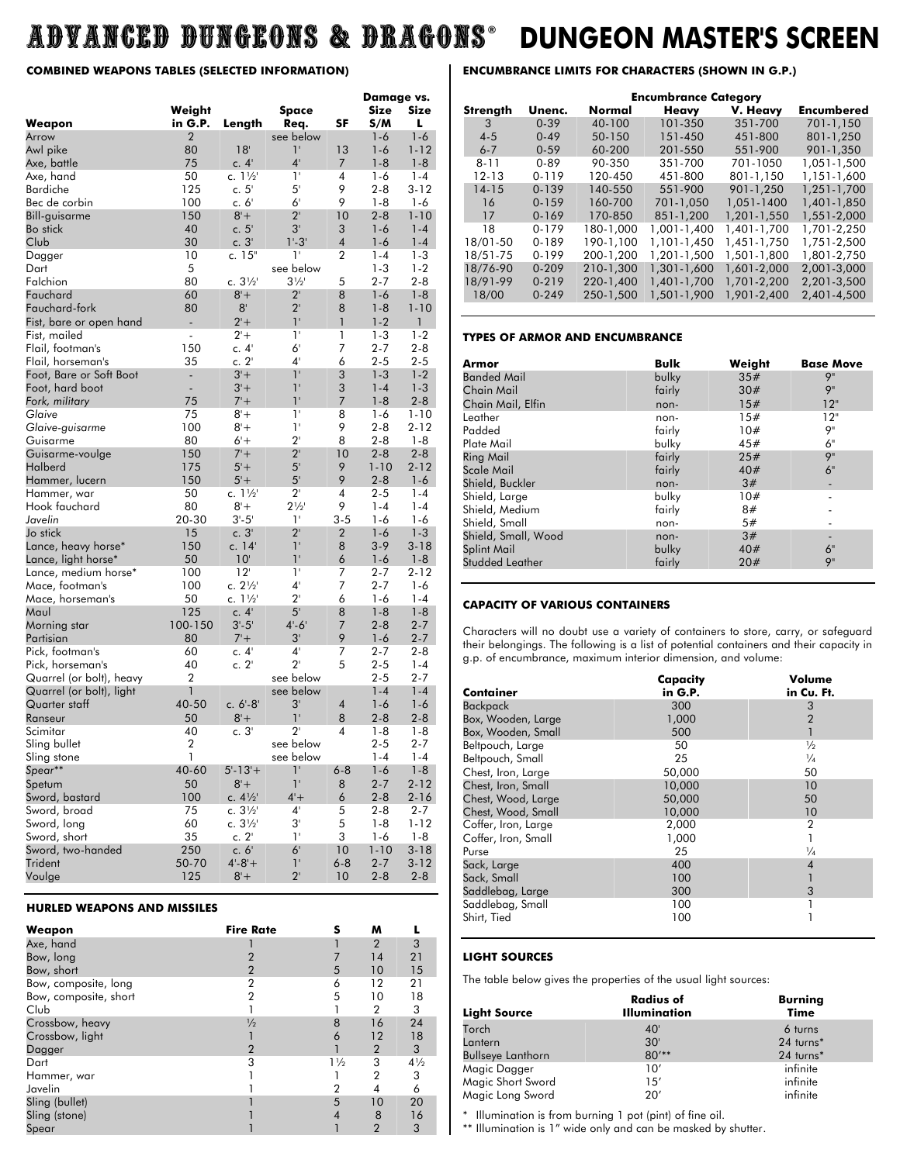## ADVANCED DUNGEONS & DRAGONS **® DUNGEON MASTER'S SCREEN**

#### **COMBINED WEAPONS TABLES (SELECTED INFORMATION)**

|                                     |                   |                           |                   |                | Damage vs.         |                     |
|-------------------------------------|-------------------|---------------------------|-------------------|----------------|--------------------|---------------------|
| Weapon                              | Weight<br>in G.P. | Length                    | Space<br>Req.     | SF             | Size<br>S/M        | Size<br>L           |
| Arrow                               | $\overline{2}$    |                           | see below         |                | $1 - 6$            | $1 - 6$             |
| Awl pike                            | 80                | 18'                       | 1'<br>$4^{\circ}$ | 13             | $1 - 6$            | $1 - 12$            |
| Axe, battle<br>Axe, hand            | 75<br>50          | c.4'<br>c. $1\frac{1}{2}$ | 1'                | 7<br>4         | $1 - 8$<br>$1 - 6$ | $1 - 8$<br>$1 - 4$  |
| <b>Bardiche</b>                     | 125               | c.5'                      | 5'                | 9              | $2 - 8$            | $3 - 12$            |
| Bec de corbin                       | 100               | c. 6'                     | 6 <sup>1</sup>    | 9              | $1 - 8$            | $1 - 6$             |
| Bill-guisarme                       | 150               | $8' +$                    | $2^{\prime}$      | 10             | $2 - 8$            | $1 - 10$            |
| Bo stick                            | 40                | c. 5'                     | 3'                | 3              | $1 - 6$            | $1 - 4$             |
| Club                                | 30                | c. 3'                     | 1'.3'             | $\overline{4}$ | $1 - 6$            | $1 - 4$             |
| Dagger                              | 10                | c. $15"$                  | $1^+$             | $\overline{2}$ | $1 - 4$            | $1-3$               |
| Dart                                | 5                 |                           | see below         |                | $1 - 3$            | $1 - 2$             |
| Falchion                            | 80                | c. $3\frac{1}{2}$         | $3\frac{1}{2}$    | 5              | $2 - 7$            | $2 - 8$             |
| Fauchard                            | 60                | $8 +$                     | $2^{\circ}$       | 8              | $1 - 6$            | $1 - 8$             |
| Fauchard-fork                       | 80                | 8 <sup>1</sup>            | $2^{\circ}$       | 8              | $1 - 8$            | $1 - 10$            |
| Fist, bare or open hand             | L,                | $2 +$                     | 1 <sup>1</sup>    | $\mathbf{1}$   | $1 - 2$            | $\mathbf{1}$        |
| Fist, mailed                        | $\overline{a}$    | $2 +$                     | $1^+$             | 1              | $1 - 3$            | $1 - 2$             |
| Flail, footman's                    | 150               | c. $4'$                   | 6'                | 7              | $2 - 7$            | $2 - 8$             |
| Flail, horseman's                   | 35                | c. 2'                     | $4^{\circ}$       | 6              | $2 - 5$            | $2 - 5$             |
| Foot, Bare or Soft Boot             | ÷,                | $3'+$                     | 1'                | 3              | $1 - 3$            | $1-2$               |
| Foot, hard boot                     |                   | $3'+$                     | 1'                | 3              | $1 - 4$            | $1 - 3$             |
| Fork, military                      | 75                | $7 +$                     | 1'                | 7              | $1 - 8$            | $2 - 8$             |
| Glaive                              | 75                | $8 +$                     | $1^{\circ}$       | 8              | $1 - 6$            | $1 - 10$            |
| Glaive-guisarme                     | 100               | $8 +$                     | 1'                | 9              | $2 - 8$            | $2 - 12$            |
| Guisarme                            | 80                | $6'+$                     | $2^{\circ}$       | 8              | $2 - 8$            | $1 - 8$             |
| Guisarme-voulge                     | 150               | $7' +$                    | $2^{\circ}$       | 10             | $2 - 8$            | $2 - 8$             |
| Halberd                             | 175               | $5'+$                     | 5 <sup>1</sup>    | 9              | $1 - 10$           | $2 - 12$            |
| Hammer, lucern                      | 150               | $5'+$                     | 5 <sup>1</sup>    | 9              | $2 - 8$            | $1 - 6$             |
| Hammer, war                         | 50                | c. $1\frac{1}{2}$         | $2^{\circ}$       | 4              | $2 - 5$            | $1 - 4$             |
| Hook fauchard                       | 80                | $8 +$                     | $2\frac{1}{2}$    | 9              | $1 - 4$            | $1 - 4$             |
| Javelin                             | 20-30             | $3'-5'$                   | $1^{\circ}$       | $3 - 5$        | $1 - 6$            | $1 - 6$             |
| Jo stick                            | 15                | c.3'                      | $2^{\circ}$<br>1' | 2              | $1 - 6$            | $1 - 3$             |
| Lance, heavy horse*                 | 150<br>50         | c. 14'                    | 1'                | 8              | $3-9$              | $3 - 18$            |
| Lance, light horse*                 | 100               | 10 <sup>1</sup><br>12'    | 1'                | 6<br>7         | $1 - 6$<br>$2 - 7$ | $1 - 8$<br>$2 - 12$ |
| Lance, medium horse*                | 100               | c. $2\frac{1}{2}$         | $4^{\circ}$       | 7              | $2 - 7$            | $1 - 6$             |
| Mace, footman's<br>Mace, horseman's | 50                | c. 1½                     | $2^{\circ}$       | 6              | $1 - 6$            | $1 - 4$             |
| Maul                                | 125               | c.4'                      | 5 <sup>1</sup>    | 8              | $1 - 8$            | $1 - 8$             |
| Morning star                        | 100-150           | $3' - 5'$                 | $4 - 6'$          | $\overline{7}$ | $2 - 8$            | $2 - 7$             |
| Partisian                           | 80                | $7' +$                    | 3'                | 9              | $1 - 6$            | $2 - 7$             |
| Pick, footman's                     | 60                | c.4'                      | $4^{\circ}$       | 7              | $2 - 7$            | 2-8                 |
| Pick, horseman's                    | 40                | c. 2'                     | $2^{\circ}$       | 5              | $2 - 5$            | $1 - 4$             |
| Quarrel (or bolt), heavy            | 2                 |                           | see below         |                | $2 - 5$            | $2 - 7$             |
| Quarrel (or bolt), light            | 1                 |                           | see below         |                | $1 - 4$            | $1 - 4$             |
| Quarter staff                       | 40-50             | $c. 6' - 8'$              | 3'                | 4              | $1 - 6$            | $1 - 6$             |
| Ranseur                             | 50                | $8 +$                     | 1'                | 8              | $2 - 8$            | $2 - 8$             |
| Scimitar                            | 40                | c.3'                      | $2^{\circ}$       | 4              | $1 - 8$            | $1-8$               |
| Sling bullet                        | 2                 |                           | see below         |                | $2 - 5$            | 2-7                 |
| Sling stone                         | 1                 |                           | see below         |                | $1 - 4$            | $1 - 4$             |
| Spear**                             | 40-60             | $5 - 13 +$                | $1^{\circ}$       | $6 - 8$        | $1 - 6$            | $1 - 8$             |
| Spetum                              | 50                | $8 +$                     | 1 <sup>1</sup>    | 8              | $2 - 7$            | $2 - 12$            |
| Sword, bastard                      | 100               | c. $4\frac{1}{2}$         | $4+$              | 6              | $2 - 8$            | $2 - 16$            |
| Sword, broad                        | 75                | c. $3\frac{1}{2}$         | $4^{\circ}$       | 5              | $2 - 8$            | 2-7                 |
| Sword, long                         | 60                | c. $3\frac{1}{2}$         | $3^{\circ}$       | 5              | 1-8                | 1-12                |
| Sword, short                        | 35                | c. 2'                     | $1^{\circ}$       | 3              | 1-6                | $1 - 8$             |
| Sword, two-handed                   | 250               | c. $6'$                   | 6 <sup>1</sup>    | 10             | $1 - 10$           | $3 - 18$            |
| Trident                             | 50-70             | $4 - 8 +$                 | $1^{\circ}$       | $6 - 8$        | $2 - 7$            | $3 - 12$            |
| Voulge                              | 125               | $8 +$                     | $2^{\circ}$       | 10             | $2 - 8$            | $2 - 8$             |

#### **HURLED WEAPONS AND MISSILES**

| Weapon                | <b>Fire Rate</b> | s              | м              |                |
|-----------------------|------------------|----------------|----------------|----------------|
| Axe, hand             |                  |                | $\overline{2}$ | 3              |
| Bow, long             |                  |                | 14             | 21             |
| Bow, short            | $\overline{2}$   | 5              | 10             | 15             |
| Bow, composite, long  | $\overline{2}$   | 6              | 12             | 21             |
| Bow, composite, short | 2                | 5              | 10             | 18             |
| Club                  |                  |                | $\mathbf{2}$   | 3              |
| Crossbow, heavy       | $\frac{1}{2}$    | 8              | 16             | 24             |
| Crossbow, light       |                  | 6              | 12             | 18             |
| Dagger                | 2                |                | 2              | 3              |
| Dart                  | 3                | $1\frac{1}{2}$ | 3              | $4\frac{1}{2}$ |
| Hammer, war           |                  |                | 2              | 3              |
| Javelin               |                  | $\overline{2}$ | 4              | 6              |
| Sling (bullet)        |                  | 5              | 10             | 20             |
| Sling (stone)         |                  |                | 8              | 16             |
| Spear                 |                  |                | $\overline{2}$ | 3              |

#### **ENCUMBRANCE LIMITS FOR CHARACTERS (SHOWN IN G.P.)**

| Unenc.    | Normal    | <b>Heavy</b> | V. Heavy    | <b>Encumbered</b>           |
|-----------|-----------|--------------|-------------|-----------------------------|
| $0 - 39$  | 40-100    | 101-350      | 351-700     | 701-1.150                   |
| $0 - 49$  | 50-150    | 151-450      | 451-800     | 801-1.250                   |
| $0 - 59$  | 60-200    | 201-550      | 551-900     | 901-1.350                   |
| $0 - 89$  | 90-350    | 351-700      | 701-1050    | 1,051-1,500                 |
| 0-119     | 120-450   | 451-800      | 801-1.150   | 1.151-1.600                 |
| $0 - 139$ | 140-550   | 551-900      | 901-1.250   | 1.251-1.700                 |
| $0 - 159$ | 160-700   | 701-1.050    | 1.051-1400  | 1,401-1,850                 |
| $0 - 169$ | 170-850   | 851-1.200    | 1,201-1,550 | 1,551-2,000                 |
| 0-179     | 180-1.000 | 1.001-1,400  | 1.401-1.700 | 1,701-2,250                 |
| 0-189     | 190-1.100 | 1.101-1.450  | 1.451-1.750 | 1,751-2,500                 |
| 0-199     | 200-1.200 | 1.201-1.500  | 1,501-1,800 | 1.801-2.750                 |
| $0 - 209$ | 210-1.300 | 1.301-1,600  | 1.601-2.000 | 2,001-3,000                 |
| $0 - 219$ | 220-1.400 | 1,401-1,700  | 1.701-2.200 | 2.201-3.500                 |
| $0 - 249$ | 250-1.500 | 1,501-1,900  | 1.901-2.400 | 2.401-4.500                 |
|           |           |              |             | <b>Encumbrance Category</b> |

#### **TYPES OF ARMOR AND ENCUMBRANCE**

| Armor                  | <b>Bulk</b> | Weight | <b>Base Move</b> |
|------------------------|-------------|--------|------------------|
| <b>Banded Mail</b>     | bulky       | 35#    | 9"               |
| Chain Mail             | fairly      | 30#    | 9"               |
| Chain Mail, Elfin      | non-        | 15#    | 12"              |
| Leather                | non-        | 15#    | 12"              |
| Padded                 | fairly      | 10#    | 9"               |
| Plate Mail             | bulky       | 45#    | 6"               |
| Ring Mail              | fairly      | 25#    | <b>9</b> "       |
| Scale Mail             | fairly      | 40#    | 6"               |
| Shield, Buckler        | non-        | 3#     |                  |
| Shield, Large          | bulky       | 10#    |                  |
| Shield, Medium         | fairly      | 8#     |                  |
| Shield, Small          | non-        | 5#     |                  |
| Shield, Small, Wood    | non-        | 3#     |                  |
| Splint Mail            | bulky       | 40#    | 6"               |
| <b>Studded Leather</b> | fairly      | 20#    | 9"               |

#### **CAPACITY OF VARIOUS CONTAINERS**

Characters will no doubt use a variety of containers to store, carry, or safeguard their belongings. The following is a list of potential containers and their capacity in g.p. of encumbrance, maximum interior dimension, and volume:

|                     | Capacity | Volume         |
|---------------------|----------|----------------|
| Container           | in G.P.  | in Cu. Ft.     |
| <b>Backpack</b>     | 300      | 3              |
| Box, Wooden, Large  | 1,000    | $\overline{2}$ |
| Box, Wooden, Small  | 500      |                |
| Beltpouch, Large    | 50       | $\frac{1}{2}$  |
| Beltpouch, Small    | 25       | $\frac{1}{4}$  |
| Chest, Iron, Large  | 50,000   | 50             |
| Chest, Iron, Small  | 10,000   | 10             |
| Chest, Wood, Large  | 50,000   | 50             |
| Chest, Wood, Small  | 10,000   | 10             |
| Coffer, Iron, Large | 2,000    | $\overline{2}$ |
| Coffer, Iron, Small | 1,000    |                |
| Purse               | 25       | $\frac{1}{4}$  |
| Sack, Large         | 400      | $\overline{4}$ |
| Sack, Small         | 100      |                |
| Saddlebag, Large    | 300      | 3              |
| Saddlebag, Small    | 100      |                |
| Shirt, Tied         | 100      |                |

#### **LIGHT SOURCES**

The table below gives the properties of the usual light sources:

| <b>Light Source</b>      | <b>Radius of</b><br><b>Illumination</b> | <b>Burning</b><br><b>Time</b> |
|--------------------------|-----------------------------------------|-------------------------------|
| Torch                    | $40^{\circ}$                            | 6 turns                       |
| Lantern                  | 30'                                     | 24 turns*                     |
| <b>Bullseye Lanthorn</b> | $80***$                                 | 24 turns*                     |
| Magic Dagger             | 10'                                     | infinite                      |
| Magic Short Sword        | 15'                                     | infinite                      |
| Magic Long Sword         | 20'                                     | infinite                      |

\* Illumination is from burning 1 pot (pint) of fine oil.

\*\* Illumination is 1" wide only and can be masked by shutter.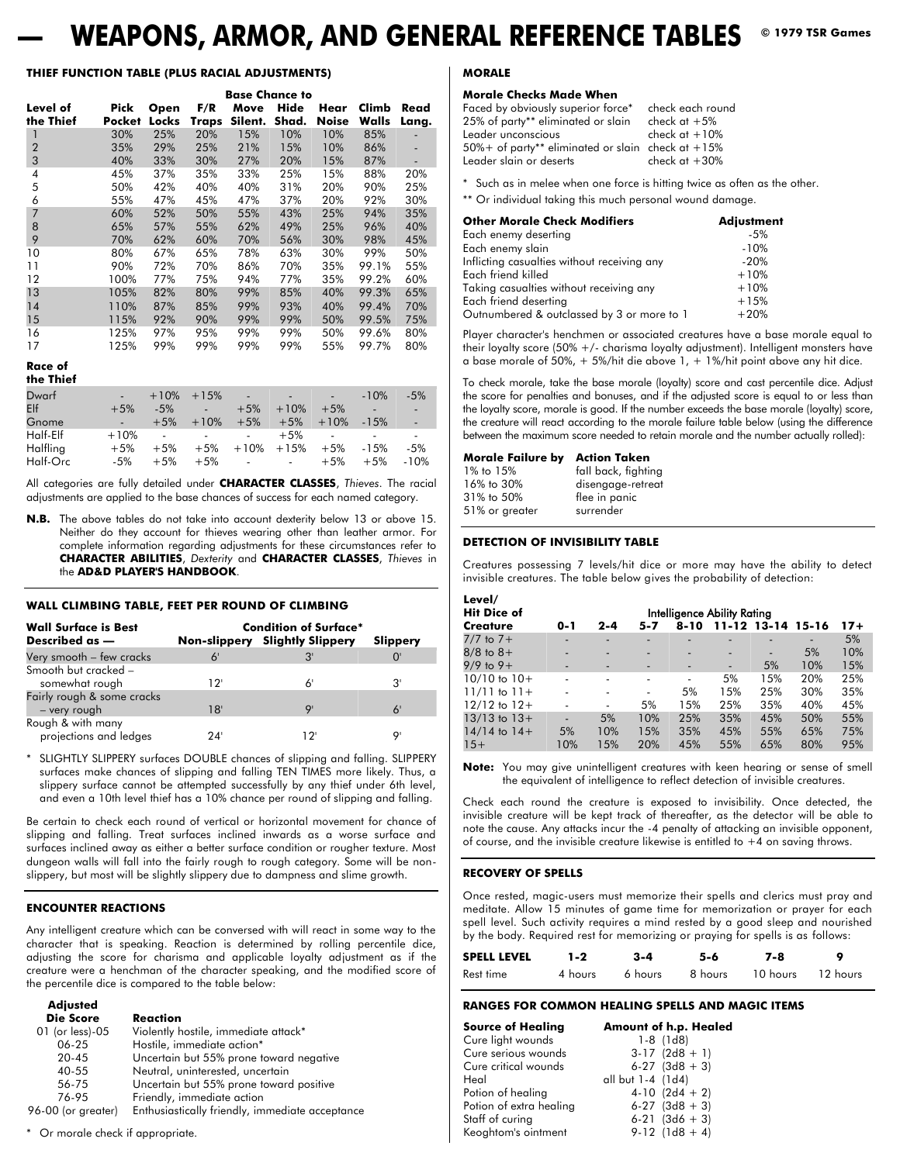## **WEAPONS, ARMOR, AND GENERAL REFERENCE TABLES**  $\bullet$  1979 TSR Games

#### **THIEF FUNCTION TABLE (PLUS RACIAL ADJUSTMENTS)**

|                       | <b>Base Chance to</b> |               |              |                 |               |                      |                |               |
|-----------------------|-----------------------|---------------|--------------|-----------------|---------------|----------------------|----------------|---------------|
| Level of<br>the Thief | Pick<br><b>Pocket</b> | Open<br>Locks | F/R<br>Traps | Move<br>Silent. | Hide<br>Shad. | Hear<br><b>Noise</b> | Climb<br>Walls | Read<br>Lang. |
|                       | 30%                   | 25%           | 20%          | 15%             | 10%           | 10%                  | 85%            |               |
| $\overline{2}$        | 35%                   | 29%           | 25%          | 21%             | 15%           | 10%                  | 86%            | ٠             |
| 3                     | 40%                   | 33%           | 30%          | 27%             | 20%           | 15%                  | 87%            |               |
| 4                     | 45%                   | 37%           | 35%          | 33%             | 25%           | 15%                  | 88%            | 20%           |
| 5                     | 50%                   | 42%           | 40%          | 40%             | 31%           | 20%                  | 90%            | 25%           |
| 6                     | 55%                   | 47%           | 45%          | 47%             | 37%           | 20%                  | 92%            | 30%           |
| $\overline{7}$        | 60%                   | 52%           | 50%          | 55%             | 43%           | 25%                  | 94%            | 35%           |
| 8                     | 65%                   | 57%           | 55%          | 62%             | 49%           | 25%                  | 96%            | 40%           |
| 9                     | 70%                   | 62%           | 60%          | 70%             | 56%           | 30%                  | 98%            | 45%           |
| 10                    | 80%                   | 67%           | 65%          | 78%             | 63%           | 30%                  | 99%            | 50%           |
| 11                    | 90%                   | 72%           | 70%          | 86%             | 70%           | 35%                  | 99.1%          | 55%           |
| 12                    | 100%                  | 77%           | 75%          | 94%             | 77%           | 35%                  | 99.2%          | 60%           |
| 13                    | 105%                  | 82%           | 80%          | 99%             | 85%           | 40%                  | 99.3%          | 65%           |
| 14                    | 110%                  | 87%           | 85%          | 99%             | 93%           | 40%                  | 99.4%          | 70%           |
| 15                    | 115%                  | 92%           | 90%          | 99%             | 99%           | 50%                  | 99.5%          | 75%           |
| 16                    | 125%                  | 97%           | 95%          | 99%             | 99%           | 50%                  | 99.6%          | 80%           |
| 17                    | 125%                  | 99%           | 99%          | 99%             | 99%           | 55%                  | 99.7%          | 80%           |

#### **Race of the Thief**

| The Thier |        |        |                   |                             |                         |            |                          |        |
|-----------|--------|--------|-------------------|-----------------------------|-------------------------|------------|--------------------------|--------|
| Dwarf     |        | $+10%$ | $+15%$            | <b>Contractor</b>           | $\sim 100$ km s $^{-1}$ | ٠.         | $-10%$                   | $-5%$  |
| Elf       | $+5%$  | $-5\%$ | 79 - De           | $+5%$                       | $+10%$                  | $+5%$      | <b>COLLECTION</b>        | ш.     |
| Gnome     |        | $+5%$  | $+10%$            | $+5%$                       | $+5%$                   | $+10%$     | $-15%$                   | u,     |
| Half-Elf  | $+10%$ | $\sim$ | <b>Contractor</b> | $\sim 10^{-10}$             | $+5%$                   | $\sim 100$ | $\overline{\phantom{a}}$ |        |
| Halfling  | $+5%$  | $+5%$  | $+5%$             |                             | $+10\% + 15\%$          | $+5%$      | $-15%$                   | -5%    |
| Half-Orc  | $-5%$  | $+5%$  | $+5%$             | and the control of the con- |                         | $+5%$      | $+5%$                    | $-10%$ |

All categories are fully detailed under **CHARACTER CLASSES**, *Thieves*. The racial adjustments are applied to the base chances of success for each named category.

**N.B.** The above tables do not take into account dexterity below 13 or above 15. Neither do they account for thieves wearing other than leather armor. For complete information regarding adjustments for these circumstances refer to **CHARACTER ABILITIES**, *Dexterity* and **CHARACTER CLASSES**, *Thieves* in the **AD&D PLAYER'S HANDBOOK**.

#### **WALL CLIMBING TABLE, FEET PER ROUND OF CLIMBING**

| <b>Wall Surface is Best</b><br>Described as - |      | <b>Condition of Surface*</b><br><b>Non-slippery</b> Slightly Slippery | Slippery |
|-----------------------------------------------|------|-----------------------------------------------------------------------|----------|
| Very smooth - few cracks                      | 6'   |                                                                       |          |
| Smooth but cracked -<br>somewhat rough        | י 12 | 6                                                                     | יצ       |
| Fairly rough & some cracks<br>- very rough    | 18'  | o                                                                     | 6'       |
| Rough & with many<br>projections and ledges   | 24'  | 12'                                                                   | o        |

\* SLIGHTLY SLIPPERY surfaces DOUBLE chances of slipping and falling. SLIPPERY surfaces make chances of slipping and falling TEN TIMES more likely. Thus, a slippery surface cannot be attempted successfully by any thief under 6th level, and even a 10th level thief has a 10% chance per round of slipping and falling.

Be certain to check each round of vertical or horizontal movement for chance of slipping and falling. Treat surfaces inclined inwards as a worse surface and surfaces inclined away as either a better surface condition or rougher texture. Most dungeon walls will fall into the fairly rough to rough category. Some will be nonslippery, but most will be slightly slippery due to dampness and slime growth.

#### **ENCOUNTER REACTIONS**

**Adjusted**

Any intelligent creature which can be conversed with will react in some way to the character that is speaking. Reaction is determined by rolling percentile dice, adjusting the score for charisma and applicable loyalty adjustment as if the creature were a henchman of the character speaking, and the modified score of the percentile dice is compared to the table below:

| Adjusted           |                                                 |
|--------------------|-------------------------------------------------|
| <b>Die Score</b>   | Reaction                                        |
| 01 (or less)-05    | Violently hostile, immediate attack*            |
| 06-25              | Hostile, immediate action*                      |
| $20 - 45$          | Uncertain but 55% prone toward negative         |
| 40-55              | Neutral, uninterested, uncertain                |
| 56-75              | Uncertain but 55% prone toward positive         |
| 76-95              | Friendly, immediate action                      |
| 96-00 (or greater) | Enthusiastically friendly, immediate acceptance |
|                    |                                                 |

#### \* Or morale check if appropriate.

#### **MORALE**

#### **Morale Checks Made When**

| Faced by obviously superior force*                | check each round |
|---------------------------------------------------|------------------|
| 25% of party** eliminated or slain                | check at $+5\%$  |
| Leader unconscious                                | check at $+10%$  |
| 50%+ of party** eliminated or slain check at +15% |                  |
| Leader slain or deserts                           | check at $+30%$  |

\* Such as in melee when one force is hitting twice as often as the other.

\*\* Or individual taking this much personal wound damage.

| <b>Other Morale Check Modifiers</b>         | <b>Adjustment</b> |
|---------------------------------------------|-------------------|
| Each enemy deserting                        | $-5%$             |
| Each enemy slain                            | $-10%$            |
| Inflicting casualties without receiving any | $-20%$            |
| Each friend killed                          | $+10%$            |
| Taking casualties without receiving any     | $+10%$            |
| Each friend deserting                       | $+15%$            |
| Outnumbered & outclassed by 3 or more to 1  | $+20%$            |

Player character's henchmen or associated creatures have a base morale equal to their loyalty score (50% +/- charisma loyalty adjustment). Intelligent monsters have a base morale of 50%,  $+$  5%/hit die above 1,  $+$  1%/hit point above any hit dice.

To check morale, take the base morale (loyalty) score and cast percentile dice. Adjust the score for penalties and bonuses, and if the adjusted score is equal to or less than the loyalty score, morale is good. If the number exceeds the base morale (loyalty) score, the creature will react according to the morale failure table below (using the difference between the maximum score needed to retain morale and the number actually rolled):

#### **Morale Failure by Action Taken**

| 1% to 15%      | fall back, fighting |
|----------------|---------------------|
| 16% to 30%     | disengage-retreat   |
| 31% to 50%     |                     |
|                | flee in panic       |
| 51% or greater | surrender           |

#### **DETECTION OF INVISIBILITY TABLE**

Creatures possessing 7 levels/hit dice or more may have the ability to detect invisible creatures. The table below gives the probability of detection:

| Level/<br><b>Hit Dice of</b> | Intelligence Ability Rating |                          |     |                          |                          |                          |     |     |  |
|------------------------------|-----------------------------|--------------------------|-----|--------------------------|--------------------------|--------------------------|-----|-----|--|
| <b>Creature</b>              |                             | 11-12 13-14 15-16        |     | $17+$                    |                          |                          |     |     |  |
| $7/7$ to $7+$                | $\overline{\phantom{a}}$    |                          |     |                          |                          |                          |     | 5%  |  |
| $8/8$ to $8+$                |                             | -                        |     | $\overline{\phantom{a}}$ |                          | $\overline{\phantom{a}}$ | 5%  | 10% |  |
| $9/9$ to $9+$                | -                           | $\overline{\phantom{a}}$ |     |                          | $\overline{\phantom{a}}$ | 5%                       | 10% | 15% |  |
| $10/10$ to $10+$             |                             | $\overline{\phantom{0}}$ | -   | $\overline{\phantom{0}}$ | 5%                       | 15%                      | 20% | 25% |  |
| $11/11$ to $11+$             |                             |                          |     | 5%                       | 15%                      | 25%                      | 30% | 35% |  |
| $12/12$ to $12+$             |                             | $\overline{\phantom{a}}$ | 5%  | 15%                      | 25%                      | 35%                      | 40% | 45% |  |
| $13/13$ to $13+$             | ÷,                          | 5%                       | 10% | 25%                      | 35%                      | 45%                      | 50% | 55% |  |
| $14/14$ to $14+$             | 5%                          | 10%                      | 15% | 35%                      | 45%                      | 55%                      | 65% | 75% |  |
| $15+$                        | 10%                         | 15%                      | 20% | 45%                      | 55%                      | 65%                      | 80% | 95% |  |
|                              |                             |                          |     |                          |                          |                          |     |     |  |

**Note:** You may give unintelligent creatures with keen hearing or sense of smell the equivalent of intelligence to reflect detection of invisible creatures.

Check each round the creature is exposed to invisibility. Once detected, the invisible creature will be kept track of thereafter, as the detector will be able to note the cause. Any attacks incur the -4 penalty of attacking an invisible opponent, of course, and the invisible creature likewise is entitled to  $+4$  on saving throws.

#### **RECOVERY OF SPELLS**

Once rested, magic-users must memorize their spells and clerics must pray and meditate. Allow 15 minutes of game time for memorization or prayer for each spell level. Such activity requires a mind rested by a good sleep and nourished by the body. Required rest for memorizing or praying for spells is as follows:

| <b>SPELL LEVEL</b> | $1 - 2$ | 3-4 | 5-6             | 7-8               |  |
|--------------------|---------|-----|-----------------|-------------------|--|
| Rest time          | 4 hours |     | 6 hours 8 hours | 10 hours 12 hours |  |

#### **RANGES FOR COMMON HEALING SPELLS AND MAGIC ITEMS**

| Source of Healing       | <b>Amount of h.p. Healed</b> |
|-------------------------|------------------------------|
| Cure light wounds       | $1-8$ (1d8)                  |
| Cure serious wounds     | $3-17$ (2d8 + 1)             |
| Cure critical wounds    | $6-27$ (3d8 + 3)             |
| Heal                    | all but 1-4 (1d4)            |
| Potion of healing       | $4-10$ (2d4 + 2)             |
| Potion of extra healing | $6-27$ (3d8 + 3)             |
| Staff of curing         | $6-21$ (3d6 + 3)             |
| Keoghtom's ointment     | $9-12$ (1d8 + 4)             |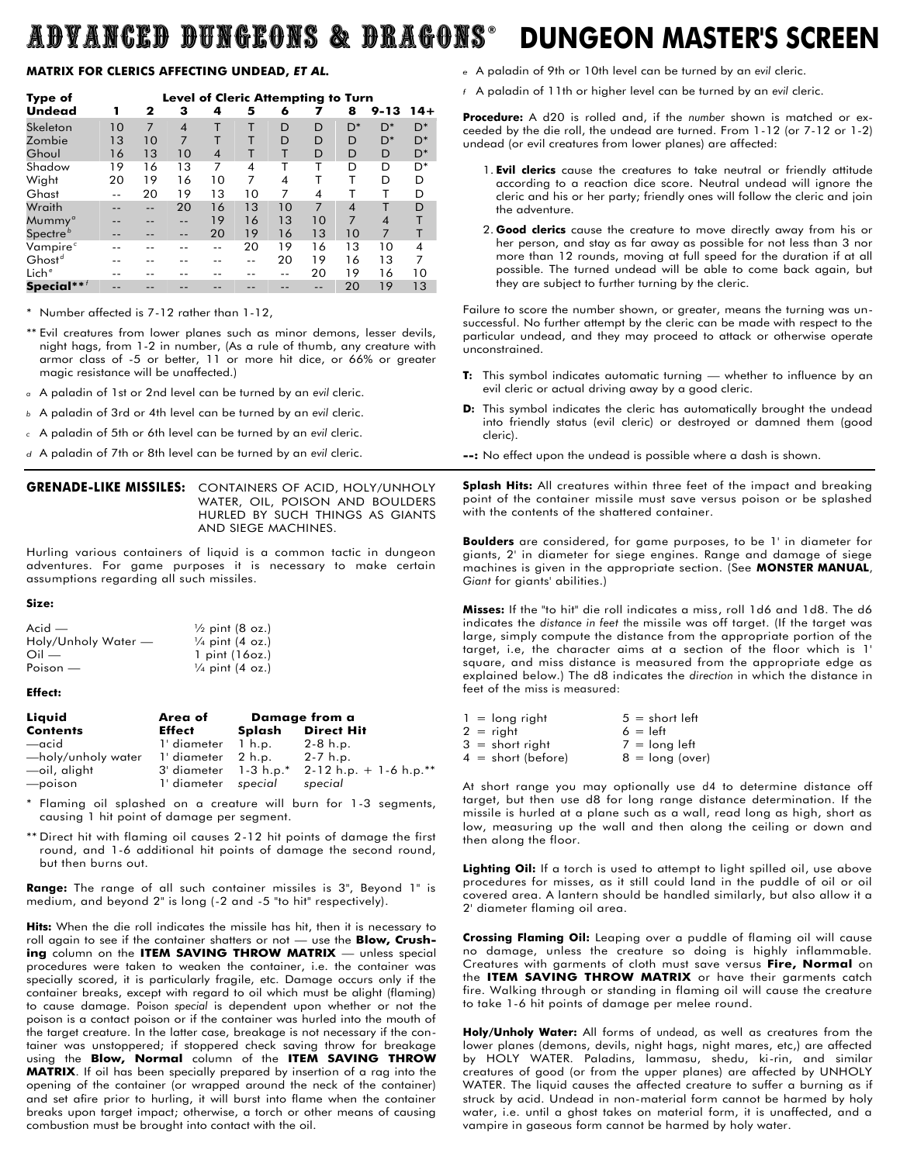## ADVANCED DUNGEONS & DRAGONS **® DUNGEON MASTER'S SCREEN**

#### **MATRIX FOR CLERICS AFFECTING UNDEAD,** *ET AL.*

| Type of                                     | Level of Cleric Attempting to Turn |    |                |                          |    |    |                |                            |                          |                          |
|---------------------------------------------|------------------------------------|----|----------------|--------------------------|----|----|----------------|----------------------------|--------------------------|--------------------------|
| <b>Undead</b>                               | 1                                  | 2  | з              | 4                        | 5  | 6  |                | 8                          | $9 - 13$                 | $14+$                    |
| Skeleton                                    | 10                                 | 7  | $\overline{4}$ | Т                        | т  | D  | D              | $D^*$                      | $D^*$                    | $D^*$                    |
| Zombie                                      | 13                                 | 10 | 7              | т                        |    | D  | D              | D                          | $D^*$                    | $D^*$                    |
| Ghoul                                       | 16                                 | 13 | 10             | $\overline{\mathcal{A}}$ | т  | т  | D              | D                          | D                        | $D^*$                    |
| Shadow                                      | 19                                 | 16 | 13             | 7                        | 4  |    |                | D                          | D                        | D <sup>*</sup>           |
| Wight                                       | 20                                 | 19 | 16             | 10                       | 7  | 4  | т              | т                          | D                        | D                        |
| Ghast                                       | --                                 | 20 | 19             | 13                       | 10 | 7  | 4              |                            |                          | D                        |
| Wraith                                      |                                    | -- | 20             | 16                       | 13 | 10 | $\overline{7}$ | $\boldsymbol{\mathcal{A}}$ |                          | D                        |
| Mummy <sup>a</sup>                          |                                    |    | --             | 19                       | 16 | 13 | 10             | $\overline{7}$             | $\overline{\mathcal{A}}$ | т                        |
| Spectre $^b$                                | --                                 |    | --             | 20                       | 19 | 16 | 13             | 10                         | $\overline{7}$           | т                        |
| Vampire <sup>c</sup>                        |                                    |    |                | --                       | 20 | 19 | 16             | 13                         | 10                       | $\overline{\mathcal{A}}$ |
| Ghost <sup>d</sup>                          |                                    |    |                |                          | -- | 20 | 19             | 16                         | 13                       | 7                        |
| Lich <sup>e</sup>                           |                                    |    |                |                          |    | -- | 20             | 19                         | 16                       | 10                       |
| Special $\boldsymbol{^{**}}{}^{\mathit{f}}$ |                                    |    |                |                          |    |    | --             | 20                         | 19                       | 13                       |

\* Number affected is 7-12 rather than 1-12,

\*\* Evil creatures from lower planes such as minor demons, lesser devils, night hags, from 1-2 in number, (As a rule of thumb, any creature with armor class of -5 or better, 11 or more hit dice, or 66% or greater magic resistance will be unaffected.)

*<sup>a</sup>* A paladin of 1st or 2nd level can be turned by an *evil* cleric.

*<sup>b</sup>* A paladin of 3rd or 4th level can be turned by an *evil* cleric.

*<sup>c</sup>* A paladin of 5th or 6th level can be turned by an *evil* cleric.

*d* A paladin of 7th or 8th level can be turned by an *evil* cleric.

#### **GRENADE-LIKE MISSILES:** CONTAINERS OF ACID, HOLY/UNHOLY WATER, OIL, POISON AND BOULDERS HURLED BY SUCH THINGS AS GIANTS AND SIEGE MACHINES.

Hurling various containers of liquid is a common tactic in dungeon adventures. For game purposes it is necessary to make certain assumptions regarding all such missiles.

**Size:** 

| $Acid$ —            | $\frac{1}{2}$ pint (8 oz.) |
|---------------------|----------------------------|
| Holy/Unholy Water — | $\frac{1}{4}$ pint (4 oz.) |
| $\bigcirc$ il —     | 1 pint (16oz.)             |
| Poison $-$          | $\frac{1}{4}$ pint (4 oz.) |

#### **Effect:**

| Liquid                                | Area of                     |        | Damage from a            |
|---------------------------------------|-----------------------------|--------|--------------------------|
| <b>Contents</b>                       | <b>Effect</b>               | Splash | <b>Direct Hit</b>        |
| —acid                                 | 1' diameter 1 h.p.          |        | $2-8$ h.p.               |
| —holy/unholy water 1' diameter 2 h.p. |                             |        | $2 - 7$ h.p.             |
| —oil, alight                          | 3' diameter 1-3 h.p.*       |        | $2-12$ h.p. + 1-6 h.p.** |
| -poison                               | 1' diameter special special |        |                          |

\* Flaming oil splashed on a creature will burn for 1-3 segments, causing 1 hit point of damage per segment.

\*\* Direct hit with flaming oil causes 2-12 hit points of damage the first round, and 1-6 additional hit points of damage the second round, but then burns out.

**Range:** The range of all such container missiles is 3", Beyond 1" is medium, and beyond 2" is long (-2 and -5 "to hit" respectively).

**Hits:** When the die roll indicates the missile has hit, then it is necessary to roll again to see if the container shatters or not — use the **Blow, Crushing** column on the **ITEM SAVING THROW MATRIX** — unless special procedures were taken to weaken the container, i.e. the container was specially scored, it is particularly fragile, etc. Damage occurs only if the container breaks, except with regard to oil which must be alight (flaming) to cause damage. Poison *special* is dependent upon whether or not the poison is a contact poison or if the container was hurled into the mouth of the target creature. In the latter case, breakage is not necessary if the container was unstoppered; if stoppered check saving throw for breakage using the **Blow, Normal** column of the **ITEM SAVING THROW MATRIX**. If oil has been specially prepared by insertion of a rag into the opening of the container (or wrapped around the neck of the container) and set afire prior to hurling, it will burst into flame when the container breaks upon target impact; otherwise, a torch or other means of causing combustion must be brought into contact with the oil.

- *e* A paladin of 9th or 10th level can be turned by an *evil* cleric.
- *f* A paladin of 11th or higher level can be turned by an *evil* cleric.

**Procedure:** A d20 is rolled and, if the *number* shown is matched or exceeded by the die roll, the undead are turned. From 1-12 (or 7-12 or 1-2) undead (or evil creatures from lower planes) are affected:

- 1. **Evil clerics** cause the creatures to take neutral or friendly attitude according to a reaction dice score. Neutral undead will ignore the cleric and his or her party; friendly ones will follow the cleric and join the adventure.
- 2. **Good clerics** cause the creature to move directly away from his or her person, and stay as far away as possible for not less than 3 nor more than 12 rounds, moving at full speed for the duration if at all possible. The turned undead will be able to come back again, but they are subject to further turning by the cleric.

Failure to score the number shown, or greater, means the turning was unsuccessful. No further attempt by the cleric can be made with respect to the particular undead, and they may proceed to attack or otherwise operate unconstrained.

- **T:** This symbol indicates automatic turning whether to influence by an evil cleric or actual driving away by a good cleric.
- **D:** This symbol indicates the cleric has automatically brought the undead into friendly status (evil cleric) or destroyed or damned them (good cleric).
- **--:** No effect upon the undead is possible where a dash is shown.

**Splash Hits:** All creatures within three feet of the impact and breaking point of the container missile must save versus poison or be splashed with the contents of the shattered container.

**Boulders** are considered, for game purposes, to be 1' in diameter for giants, 2' in diameter for siege engines. Range and damage of siege machines is given in the appropriate section. (See **MONSTER MANUAL**, *Giant* for giants' abilities.)

**Misses:** If the "to hit" die roll indicates a miss, roll 1d6 and 1d8. The d6 indicates the *distance in feet* the missile was off target. (If the target was large, simply compute the distance from the appropriate portion of the target, i.e, the character aims at a section of the floor which is 1' square, and miss distance is measured from the appropriate edge as explained below.) The d8 indicates the *direction* in which the distance in feet of the miss is measured:

| $1 =$ long right     | $5 = short left$  |
|----------------------|-------------------|
| $2 = right$          | $6 = left$        |
| $3 =$ short right    | $7 =$ long left   |
| $4 = short (before)$ | $8 =$ long (over) |

At short range you may optionally use d4 to determine distance off target, but then use d8 for long range distance determination. If the missile is hurled at a plane such as a wall, read long as high, short as low, measuring up the wall and then along the ceiling or down and then along the floor.

**Lighting Oil:** If a torch is used to attempt to light spilled oil, use above procedures for misses, as it still could land in the puddle of oil or oil covered area. A lantern should be handled similarly, but also allow it a 2' diameter flaming oil area.

**Crossing Flaming Oil:** Leaping over a puddle of flaming oil will cause no damage, unless the creature so doing is highly inflammable. Creatures with garments of cloth must save versus **Fire, Normal** on the **ITEM SAVING THROW MATRIX** or have their garments catch fire. Walking through or standing in flaming oil will cause the creature to take 1-6 hit points of damage per melee round.

**Holy/Unholy Water:** All forms of undead, as well as creatures from the lower planes (demons, devils, night hags, night mares, etc,) are affected by HOLY WATER. Paladins, lammasu, shedu, ki-rin, and similar creatures of good (or from the upper planes) are affected by UNHOLY WATER. The liquid causes the affected creature to suffer a burning as if struck by acid. Undead in non-material form cannot be harmed by holy water, i.e. until a ghost takes on material form, it is unaffected, and a vampire in gaseous form cannot be harmed by holy water.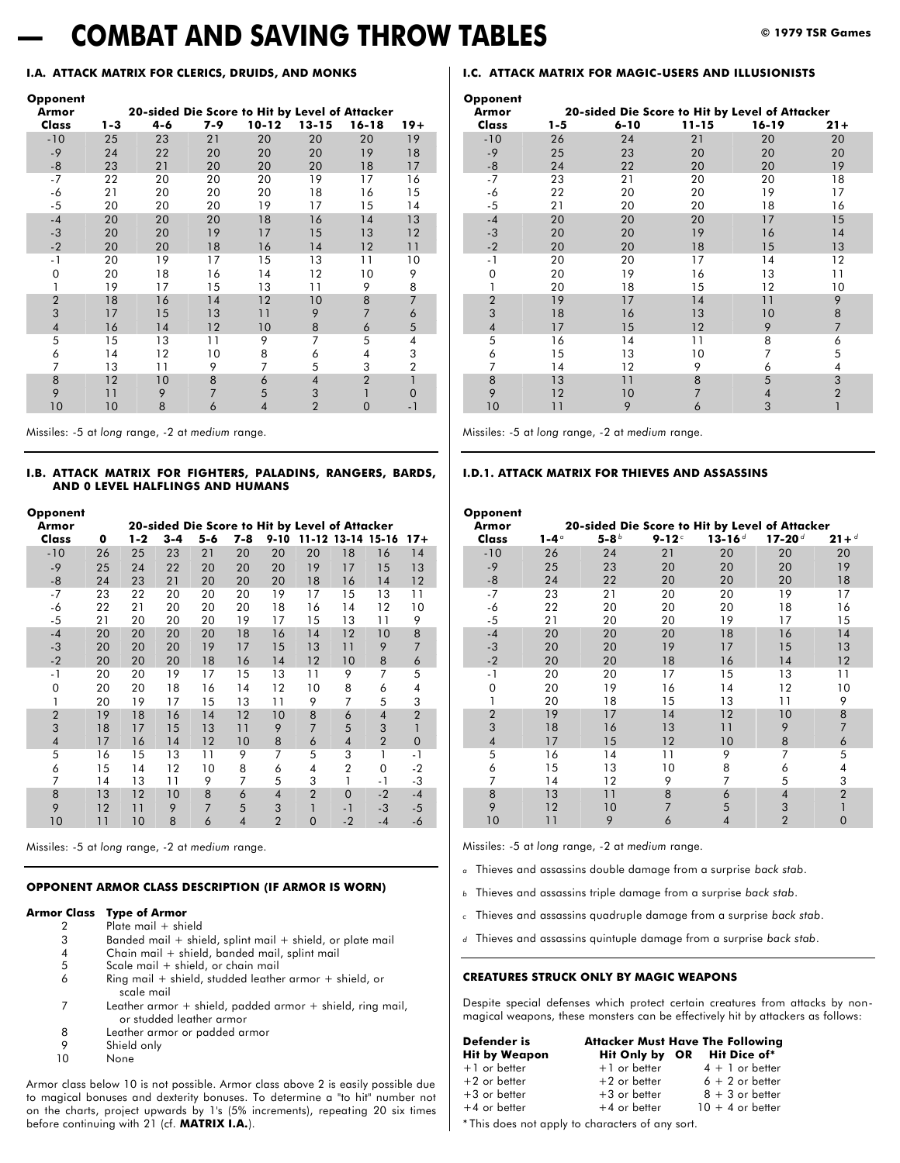## **— COMBAT AND SAVING THROW TABLES © 1979 TSR Games**

#### **I.A. ATTACK MATRIX FOR CLERICS, DRUIDS, AND MONKS**

#### **Opponent**

| Armor          |         | 20-sided Die Score to Hit by Level of Attacker |                |                          |                |                |                |
|----------------|---------|------------------------------------------------|----------------|--------------------------|----------------|----------------|----------------|
| Class          | $1 - 3$ | 4-6                                            | 7-9            | $10 - 12$                | 13-15          | $16 - 18$      | $19+$          |
| $-10$          | 25      | 23                                             | 21             | 20                       | 20             | 20             | 19             |
| $-9$           | 24      | 22                                             | 20             | 20                       | 20             | 19             | 18             |
| $-8$           | 23      | 21                                             | 20             | 20                       | 20             | 18             | 17             |
| $-7$           | 22      | 20                                             | 20             | 20                       | 19             | 17             | 16             |
| -6             | 21      | 20                                             | 20             | 20                       | 18             | 16             | 15             |
| $-5$           | 20      | 20                                             | 20             | 19                       | 17             | 15             | 14             |
| $-4$           | 20      | 20                                             | 20             | 18                       | 16             | 14             | 13             |
| $-3$           | 20      | 20                                             | 19             | 17                       | 15             | 13             | 12             |
| $-2$           | 20      | 20                                             | 18             | 16                       | 14             | 12             | 11             |
| - 1            | 20      | 19                                             | 17             | 15                       | 13             | 11             | 10             |
| $\mathbf 0$    | 20      | 18                                             | 16             | 14                       | 12             | 10             | 9              |
|                | 19      | 17                                             | 15             | 13                       | 11             | 9              | 8              |
| $\overline{2}$ | 18      | 16                                             | 14             | 12                       | 10             | 8              | $\overline{7}$ |
| 3              | 17      | 15                                             | 13             | 11                       | 9              | $\overline{7}$ | 6              |
| $\overline{4}$ | 16      | 14                                             | 12             | 10                       | 8              | 6              | 5              |
| 5              | 15      | 13                                             | 11             | 9                        | 7              | 5              | 4              |
| 6              | 14      | 12                                             | 10             | 8                        | 6              | 4              | 3              |
| 7              | 13      | 11                                             | 9              | 7                        | 5              | 3              | $\overline{2}$ |
| 8              | 12      | 10                                             | 8              | 6                        | $\overline{4}$ | $\overline{2}$ |                |
| 9              | 11      | 9                                              | $\overline{7}$ | 5                        | 3              |                | 0              |
| 10             | 10      | 8                                              | 6              | $\overline{\mathcal{A}}$ | $\overline{2}$ | $\mathbf 0$    | - 1            |

Missiles: -5 at *long* range, -2 at *medium* range.

#### **I.B. ATTACK MATRIX FOR FIGHTERS, PALADINS, RANGERS, BARDS, AND 0 LEVEL HALFLINGS AND HUMANS**

| Opponent       |    |         |         |         |                |                |                                                                                                                                                                                                                                                                                                                                                                                                                                                                                                                                                                                                                                                                                                      |    |      |    |
|----------------|----|---------|---------|---------|----------------|----------------|------------------------------------------------------------------------------------------------------------------------------------------------------------------------------------------------------------------------------------------------------------------------------------------------------------------------------------------------------------------------------------------------------------------------------------------------------------------------------------------------------------------------------------------------------------------------------------------------------------------------------------------------------------------------------------------------------|----|------|----|
| Armor          |    |         |         |         |                |                |                                                                                                                                                                                                                                                                                                                                                                                                                                                                                                                                                                                                                                                                                                      |    |      |    |
| Class          | 0  | $1 - 2$ | $3 - 4$ | $5 - 6$ | 7-8            | $9 - 10$       | 20-sided Die Score to Hit by Level of Attacker<br>11-12 13-14 15-16<br>$17+$<br>20<br>18<br>16<br>14<br>13<br>19<br>17<br>15<br>12<br>18<br>14<br>16<br>13<br>15<br>11<br>17<br>10<br>12<br>14<br>16<br>9<br>13<br>11<br>15<br>8<br>12<br>10<br>14<br>$\overline{7}$<br>13<br>9<br>11<br>8<br>12<br>6<br>10<br>7<br>9<br>5<br>11<br>8<br>10<br>4<br>6<br>7<br>3<br>9<br>5<br>$\overline{2}$<br>8<br>6<br>$\overline{4}$<br>$\overline{1}$<br>$\overline{7}$<br>5<br>3<br>$\overline{2}$<br>$\overline{4}$<br>6<br>$\overline{0}$<br>3<br>5<br>$-1$<br>1<br>$\overline{2}$<br>$\Omega$<br>$-2$<br>4<br>3<br>-3<br>1<br>$-1$<br>$\overline{2}$<br>$-4$<br>$\Omega$<br>$-2$<br>$-3$<br>1<br>$-5$<br>- 1 |    |      |    |
| $-10$          | 26 | 25      | 23      | 21      | 20             | 20             |                                                                                                                                                                                                                                                                                                                                                                                                                                                                                                                                                                                                                                                                                                      |    |      |    |
| $-9$           | 25 | 24      | 22      | 20      | 20             | 20             |                                                                                                                                                                                                                                                                                                                                                                                                                                                                                                                                                                                                                                                                                                      |    |      |    |
| -8             | 24 | 23      | 21      | 20      | 20             | 20             |                                                                                                                                                                                                                                                                                                                                                                                                                                                                                                                                                                                                                                                                                                      |    |      |    |
| $-7$           | 23 | 22      | 20      | 20      | 20             | 19             |                                                                                                                                                                                                                                                                                                                                                                                                                                                                                                                                                                                                                                                                                                      |    |      |    |
| -6             | 22 | 21      | 20      | 20      | 20             | 18             |                                                                                                                                                                                                                                                                                                                                                                                                                                                                                                                                                                                                                                                                                                      |    |      |    |
| $-5$           | 21 | 20      | 20      | 20      | 19             | 17             |                                                                                                                                                                                                                                                                                                                                                                                                                                                                                                                                                                                                                                                                                                      |    |      |    |
| $-4$           | 20 | 20      | 20      | 20      | 18             | 16             |                                                                                                                                                                                                                                                                                                                                                                                                                                                                                                                                                                                                                                                                                                      |    |      |    |
| -3             | 20 | 20      | 20      | 19      | 17             | 15             |                                                                                                                                                                                                                                                                                                                                                                                                                                                                                                                                                                                                                                                                                                      |    |      |    |
| $-2$           | 20 | 20      | 20      | 18      | 16             | 14             |                                                                                                                                                                                                                                                                                                                                                                                                                                                                                                                                                                                                                                                                                                      |    |      |    |
| $-1$           | 20 | 20      | 19      | 17      | 15             | 13             |                                                                                                                                                                                                                                                                                                                                                                                                                                                                                                                                                                                                                                                                                                      |    |      |    |
| $\Omega$       | 20 | 20      | 18      | 16      | 14             | 12             |                                                                                                                                                                                                                                                                                                                                                                                                                                                                                                                                                                                                                                                                                                      |    |      |    |
| 1              | 20 | 19      | 17      | 15      | 13             | 11             |                                                                                                                                                                                                                                                                                                                                                                                                                                                                                                                                                                                                                                                                                                      |    |      |    |
| $\overline{2}$ | 19 | 18      | 16      | 14      | 12             | 10             |                                                                                                                                                                                                                                                                                                                                                                                                                                                                                                                                                                                                                                                                                                      |    |      |    |
| 3              | 18 | 17      | 15      | 13      | 11             | 9              |                                                                                                                                                                                                                                                                                                                                                                                                                                                                                                                                                                                                                                                                                                      |    |      |    |
| 4              | 17 | 16      | 14      | 12      | 10             | 8              |                                                                                                                                                                                                                                                                                                                                                                                                                                                                                                                                                                                                                                                                                                      |    |      |    |
| 5              | 16 | 15      | 13      | 11      | 9              | 7              |                                                                                                                                                                                                                                                                                                                                                                                                                                                                                                                                                                                                                                                                                                      |    |      |    |
| 6              | 15 | 14      | 12      | 10      | 8              | 6              |                                                                                                                                                                                                                                                                                                                                                                                                                                                                                                                                                                                                                                                                                                      |    |      |    |
| 7              | 14 | 13      | 11      | 9       | 7              | 5              |                                                                                                                                                                                                                                                                                                                                                                                                                                                                                                                                                                                                                                                                                                      |    |      |    |
| 8              | 13 | 12      | 10      | 8       | 6              | $\overline{4}$ |                                                                                                                                                                                                                                                                                                                                                                                                                                                                                                                                                                                                                                                                                                      |    |      |    |
| 9              | 12 | 11      | 9       | 7       | 5              | 3              |                                                                                                                                                                                                                                                                                                                                                                                                                                                                                                                                                                                                                                                                                                      |    |      |    |
| 10             | 11 | 10      | 8       | 6       | $\overline{4}$ | $\overline{2}$ | $\overline{0}$                                                                                                                                                                                                                                                                                                                                                                                                                                                                                                                                                                                                                                                                                       | -2 | $-4$ | -6 |

Missiles: -5 at *long* range, -2 at *medium* range.

#### **OPPONENT ARMOR CLASS DESCRIPTION (IF ARMOR IS WORN)**

#### **Armor Class Type of Armor**

- 2 Plate mail + shield
- 3 Banded mail + shield, splint mail + shield, or plate mail
- 4 Chain mail + shield, banded mail, splint mail
- 5 Scale mail + shield, or chain mail
- 6 Ring mail + shield, studded leather armor + shield, or scale mail
- 7 Leather armor + shield, padded armor + shield, ring mail, or studded leather armor
- 8 Leather armor or padded armor
- 9 Shield only
- None

Armor class below 10 is not possible. Armor class above 2 is easily possible due to magical bonuses and dexterity bonuses. To determine a "to hit" number not on the charts, project upwards by 1's (5% increments), repeating 20 six times before continuing with 21 (cf. **MATRIX I.A.**).

#### **I.C. ATTACK MATRIX FOR MAGIC-USERS AND ILLUSIONISTS**

#### **Opponent**

| opponem<br>Armor |         | 20-sided Die Score to Hit by Level of Attacker |           |           |                |
|------------------|---------|------------------------------------------------|-----------|-----------|----------------|
| Class            | $1 - 5$ | $6 - 10$                                       | $11 - 15$ | $16 - 19$ | $21 +$         |
| $-10$            | 26      | 24                                             | 21        | 20        | 20             |
| $-9$             | 25      | 23                                             | 20        | 20        | 20             |
| -8               | 24      | 22                                             | 20        | 20        | 19             |
| $-7$             | 23      | 21                                             | 20        | 20        | 18             |
| -6               | 22      | 20                                             | 20        | 19        | 17             |
| $-5$             | 21      | 20                                             | 20        | 18        | 16             |
| $-4$             | 20      | 20                                             | 20        | 17        | 15             |
| $-3$             | 20      | 20                                             | 19        | 16        | 14             |
| $-2$             | 20      | 20                                             | 18        | 15        | 13             |
| - 1              | 20      | 20                                             | 17        | 14        | 12             |
| $\Omega$         | 20      | 19                                             | 16        | 13        | 11             |
|                  | 20      | 18                                             | 15        | 12        | 10             |
| $\overline{2}$   | 19      | 17                                             | 14        | 11        | 9              |
| 3                | 18      | 16                                             | 13        | 10        | 8              |
| 4                | 17      | 15                                             | 12        | 9         | $\overline{7}$ |
| 5                | 16      | 14                                             | 11        | 8         | 6              |
| 6                | 15      | 13                                             | 10        | 7         | 5              |
| 7                | 14      | 12                                             | 9         | 6         | 4              |
| 8                | 13      | 11                                             | 8         | 5         | 3              |
| 9                | 12      | 10                                             | 7         | 4         | $\overline{2}$ |
| 10               | 11      | 9                                              | 6         | 3         |                |

Missiles: -5 at *long* range, -2 at *medium* range.

#### **I.D.1. ATTACK MATRIX FOR THIEVES AND ASSASSINS**

| Opponent       |               |         |        |                                                |                |                     |
|----------------|---------------|---------|--------|------------------------------------------------|----------------|---------------------|
| Armor          |               |         |        | 20-sided Die Score to Hit by Level of Attacker |                |                     |
| Class          | 1-4 $\degree$ | 5-8 $b$ | $9-12$ | $13 - 16$ <sup>d</sup>                         | $17-20$        | $21 +$ <sup>d</sup> |
| $-10$          | 26            | 24      | 21     | 20                                             | 20             | 20                  |
| $-9$           | 25            | 23      | 20     | 20                                             | 20             | 19                  |
| $-8$           | 24            | 22      | 20     | 20                                             | 20             | 18                  |
| $-7$           | 23            | 21      | 20     | 20                                             | 19             | 17                  |
| -6             | 22            | 20      | 20     | 20                                             | 18             | 16                  |
| $-5$           | 21            | 20      | 20     | 19                                             | 17             | 15                  |
| $-4$           | 20            | 20      | 20     | 18                                             | 16             | 14                  |
| $-3$           | 20            | 20      | 19     | 17                                             | 15             | 13                  |
| $-2$           | 20            | 20      | 18     | 16                                             | 14             | 12                  |
| $-1$           | 20            | 20      | 17     | 15                                             | 13             | 11                  |
| 0              | 20            | 19      | 16     | 14                                             | 12             | 10                  |
|                | 20            | 18      | 15     | 13                                             | 11             | 9                   |
| $\overline{2}$ | 19            | 17      | 14     | 12                                             | 10             | 8                   |
| 3              | 18            | 16      | 13     | 11                                             | 9              | $\overline{7}$      |
| $\overline{4}$ | 17            | 15      | 12     | 10                                             | 8              | 6                   |
| 5              | 16            | 14      | 11     | 9                                              | 7              | 5                   |
| 6              | 15            | 13      | 10     | 8                                              | 6              | 4                   |
| 7              | 14            | 12      | 9      | 7                                              | 5              | 3                   |
| 8              | 13            | 11      | 8      | 6                                              | $\overline{4}$ | $\overline{2}$      |
| 9              | 12            | 10      | 7      | 5                                              | 3              | 1                   |
| 10             | 11            | 9       | 6      | $\overline{4}$                                 | $\overline{2}$ | $\overline{0}$      |

Missiles: -5 at *long* range, -2 at *medium* range.

- *<sup>a</sup>* Thieves and assassins double damage from a surprise *back stab*.
- *<sup>b</sup>* Thieves and assassins triple damage from a surprise *back stab*.
- *<sup>c</sup>* Thieves and assassins quadruple damage from a surprise *back stab*.
- *<sup>d</sup>* Thieves and assassins quintuple damage from a surprise *back stab*.

#### **CREATURES STRUCK ONLY BY MAGIC WEAPONS**

Despite special defenses which protect certain creatures from attacks by nonmagical weapons, these monsters can be effectively hit by attackers as follows:

| Defender is          |                | <b>Attacker Must Have The Following</b> |
|----------------------|----------------|-----------------------------------------|
| <b>Hit by Weapon</b> |                | Hit Only by OR Hit Dice of*             |
| $+1$ or better       | $+1$ or better | $4 + 1$ or better                       |
| $+2$ or better       | $+2$ or better | $6 + 2$ or better                       |
| $+3$ or better       | $+3$ or better | $8 + 3$ or better                       |
| $+4$ or better       | $+4$ or better | $10 + 4$ or better                      |

\* This does not apply to characters of any sort.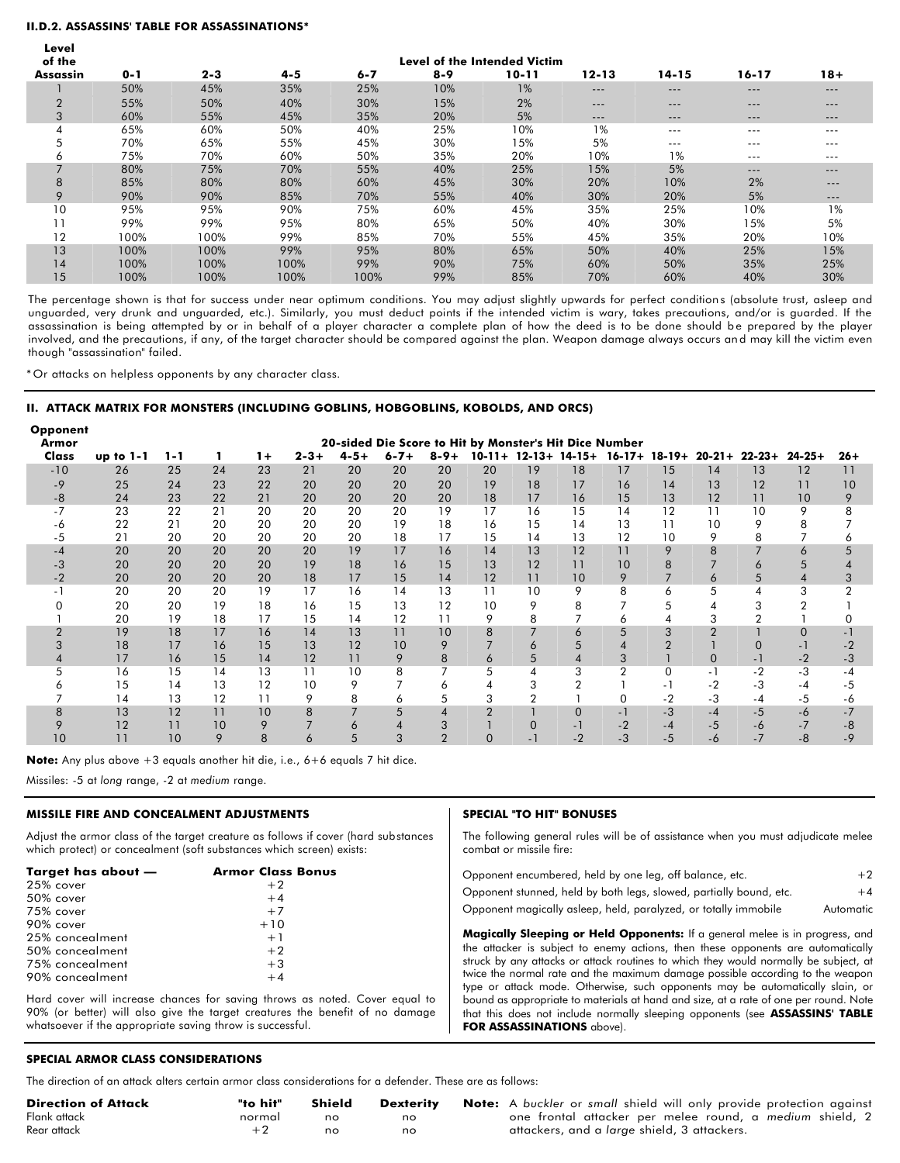#### **II.D.2. ASSASSINS' TABLE FOR ASSASSINATIONS\***

| × |
|---|
|   |

| of the         |         |         |         |         |         | Level of the Intended Victim |           |           |           |        |
|----------------|---------|---------|---------|---------|---------|------------------------------|-----------|-----------|-----------|--------|
| Assassin       | $0 - 1$ | $2 - 3$ | $4 - 5$ | $6 - 7$ | $8 - 9$ | $10 - 11$                    | $12 - 13$ | $14 - 15$ | $16 - 17$ | $18 +$ |
|                | 50%     | 45%     | 35%     | 25%     | 10%     | 1%                           | $-- -$    | ---       | $---$     | ---    |
| $\overline{2}$ | 55%     | 50%     | 40%     | 30%     | 15%     | 2%                           | $-- -$    | $---$     | $---$     | $---$  |
| 3              | 60%     | 55%     | 45%     | 35%     | 20%     | 5%                           | ---       | ---       | ---       | $---$  |
| 4              | 65%     | 60%     | 50%     | 40%     | 25%     | 10%                          | 1%        | $--$      | $---$     | ---    |
| 5              | 70%     | 65%     | 55%     | 45%     | 30%     | 15%                          | 5%        | ---       | $---$     | ---    |
| 6              | 75%     | 70%     | 60%     | 50%     | 35%     | 20%                          | 10%       | 1%        | $---$     | $---$  |
|                | 80%     | 75%     | 70%     | 55%     | 40%     | 25%                          | 15%       | 5%        | $---$     | $---$  |
| 8              | 85%     | 80%     | 80%     | 60%     | 45%     | 30%                          | 20%       | 10%       | 2%        | ---    |
| 9              | 90%     | 90%     | 85%     | 70%     | 55%     | 40%                          | 30%       | 20%       | 5%        | ---    |
| 10             | 95%     | 95%     | 90%     | 75%     | 60%     | 45%                          | 35%       | 25%       | 10%       | 1%     |
| 11             | 99%     | 99%     | 95%     | 80%     | 65%     | 50%                          | 40%       | 30%       | 15%       | 5%     |
| 12             | 100%    | 100%    | 99%     | 85%     | 70%     | 55%                          | 45%       | 35%       | 20%       | 10%    |
| 13             | 100%    | 100%    | 99%     | 95%     | 80%     | 65%                          | 50%       | 40%       | 25%       | 15%    |
| 14             | 100%    | 100%    | 100%    | 99%     | 90%     | 75%                          | 60%       | 50%       | 35%       | 25%    |
| 15             | 100%    | 100%    | 100%    | 100%    | 99%     | 85%                          | 70%       | 60%       | 40%       | 30%    |

The percentage shown is that for success under near optimum conditions. You may adjust slightly upwards for perfect conditions (absolute trust, asleep and unguarded, very drunk and unguarded, etc.). Similarly, you must deduct points if the intended victim is wary, takes precautions, and/or is guarded. If the assassination is being attempted by or in behalf of a player character a complete plan of how the deed is to be done should be prepared by the player involved, and the precautions, if any, of the target character should be compared against the plan. Weapon damage always occurs an d may kill the victim even though "assassination" failed.

\* Or attacks on helpless opponents by any character class.

#### **II. ATTACK MATRIX FOR MONSTERS (INCLUDING GOBLINS, HOBGOBLINS, KOBOLDS, AND ORCS)**

| <b>Opponent</b><br>Armor |           |         |    |      |           |           |           |           | 20-sided Die Score to Hit by Monster's Hit Dice Number |             |             |                |          |                |                                      |                |       |
|--------------------------|-----------|---------|----|------|-----------|-----------|-----------|-----------|--------------------------------------------------------|-------------|-------------|----------------|----------|----------------|--------------------------------------|----------------|-------|
| Class                    | up to 1-1 | $1 - 1$ | 1. | $1+$ | $2 - 3 +$ | $4 - 5 +$ | $6 - 7 +$ | $8 - 9 +$ | $10 - 11 +$                                            | $12 - 13 +$ | $14 - 15 +$ |                |          |                | $16-17+ 18-19+ 20-21+ 22-23+ 24-25+$ |                | $26+$ |
| $-10$                    | 26        | 25      | 24 | 23   | 21        | 20        | 20        | 20        | 20                                                     | 19          | 18          | 17             | 15       | 14             | 13                                   | 12             | 11    |
| -9                       | 25        | 24      | 23 | 22   | 20        | 20        | 20        | 20        | 19                                                     | 18          | 17          | 16             | 14       | 13             | 12                                   | 11             | 10    |
| $-8$                     | 24        | 23      | 22 | 21   | 20        | 20        | 20        | 20        | 18                                                     | 17          | 16          | 15             | 13       | 12             | 11                                   | 10             | 9     |
| $-7$                     | 23        | 22      | 21 | 20   | 20        | 20        | 20        | 19        | 17                                                     | 16          | 15          | 14             | 12       | 11             | 10                                   | 9              | 8     |
| -6                       | 22        | 21      | 20 | 20   | 20        | 20        | 19        | 18        | 16                                                     | 15          | 14          | 13             | 11       | 10             | 9                                    | 8              |       |
| -5                       | 21        | 20      | 20 | 20   | 20        | 20        | 18        | 17        | 15                                                     | 14          | 13          | 12             | 10       | 9              | 8                                    |                | 6     |
| $-4$                     | 20        | 20      | 20 | 20   | 20        | 19        | 17        | 16        | 14                                                     | 13          | 12          | 11             | 9        | 8              |                                      | 6              | 5     |
| $-3$                     | 20        | 20      | 20 | 20   | 19        | 18        | 16        | 15        | 13                                                     | 12          | 11          | 10             | 8        |                | 6                                    | 5              | 4     |
| $-2$                     | 20        | 20      | 20 | 20   | 18        | 17        | 15        | 14        | 12                                                     | 11          | 10          | 9              |          | 6              | 5                                    | $\overline{4}$ | 3     |
|                          | 20        | 20      | 20 | 19   | 17        | 16        | 14        | 13        | 11                                                     | 10          | 9           | 8              | 6        | 5              | 4                                    | 3              | 2     |
|                          | 20        | 20      | 19 | 18   | 16        | 15        | 13        | 12        | 10                                                     | 9           | 8           |                | 5        |                |                                      |                |       |
|                          | 20        | 19      | 18 | 17   | 15        | 14        | 12        | 11        | 9                                                      | 8           |             | 6              |          | 3              |                                      |                | 0     |
| $\overline{2}$           | 19        | 18      | 17 | 16   | 14        | 13        | 11        | 10        | 8                                                      | 7           | 6           | 5              | 3        | $\overline{2}$ |                                      | $\Omega$       | $-1$  |
|                          | 18        | 17      | 16 | 15   | 13        | 12        | 10        | 9         |                                                        | 6           | 5           | 4              |          |                | $\Omega$                             | $-1$           | $-2$  |
|                          | 17        | 16      | 15 | 14   | 12        | 11        | 9         | 8         | 6                                                      | 5           | 4           | 3              |          | $\mathbf 0$    | $-1$                                 | $-2$           | $-3$  |
| 5                        | 16        | 15      | 14 | 13   | 11        | 10        | 8         |           | 5                                                      | 4           | 3           | $\overline{2}$ | $\Omega$ | $-1$           | $-2$                                 | $-3$           | $-4$  |
| n                        | 15        | 14      | 13 | 12   | 10        | 9         |           | 6         |                                                        | 3           |             |                | - 1      | $-2$           | $-3$                                 | $-4$           | $-5$  |
|                          | 14        | 13      | 12 | 11   | 9         | 8         | 6         |           | 3                                                      | 2           |             | $\Omega$       | -2       | $-3$           | $-4$                                 | $-5$           | -6    |
| 8                        | 13        | 12      | 11 | 10   | 8         |           | 5         | 4         | $\mathcal{P}$                                          |             | $\Omega$    | $-1$           | $-3$     | $-4$           | $-5$                                 | $-6$           | $-7$  |
|                          | 12        | 11      | 10 | 9    |           | 6         |           | 3         |                                                        |             | - 1         | -2             | -4       | $-5$           | -6                                   | $-7$           | -8    |
| 10                       |           | 10      | 9  | 8    | 6         | 5         | 3         | 2         |                                                        |             | -2          | $-3$           | -5       | -6             | $-7$                                 | $-8$           | -9    |

**Note:** Any plus above +3 equals another hit die, i.e., 6+6 equals 7 hit dice.

Missiles: -5 at *long* range, -2 at *medium* range.

#### **MISSILE FIRE AND CONCEALMENT ADJUSTMENTS**

Adjust the armor class of the target creature as follows if cover (hard substances which protect) or concealment (soft substances which screen) exists:

| Target has about — | <b>Armor Class Bonus</b> |
|--------------------|--------------------------|
| 25% cover          | $+2$                     |
| 50% cover          | $+4$                     |
| 75% cover          | $+7$                     |
| 90% cover          | $+10$                    |
| 25% concealment    | $+1$                     |
| 50% concealment    | $+2$                     |
| 75% concealment    | $+3$                     |
| 90% concealment    | $+4$                     |

Hard cover will increase chances for saving throws as noted. Cover equal to 90% (or better) will also give the target creatures the benefit of no damage whatsoever if the appropriate saving throw is successful.

#### **SPECIAL "TO HIT" BONUSES**

The following general rules will be of assistance when you must adjudicate melee combat or missile fire:

| Opponent encumbered, held by one leg, off balance, etc.            | $+2$      |
|--------------------------------------------------------------------|-----------|
| Opponent stunned, held by both legs, slowed, partially bound, etc. | $+4$      |
| Opponent magically asleep, held, paralyzed, or totally immobile    | Automatic |

**Magically Sleeping or Held Opponents:** If a general melee is in progress, and the attacker is subject to enemy actions, then these opponents are automatically struck by any attacks or attack routines to which they would normally be subject, at twice the normal rate and the maximum damage possible according to the weapon type or attack mode. Otherwise, such opponents may be automatically slain, or bound as appropriate to materials at hand and size, at a rate of one per round. Note that this does not include normally sleeping opponents (see **ASSASSINS' TABLE FOR ASSASSINATIONS** above).

#### **SPECIAL ARMOR CLASS CONSIDERATIONS**

The direction of an attack alters certain armor class considerations for a defender. These are as follows:

| <b>Direction of Attack</b> | "to hit" | Shield | <b>Dexterity</b> |
|----------------------------|----------|--------|------------------|
| Flank attack               | normal   | no     | no               |
| Rear attack                | $+2$     | no     | no               |

**Note:** A buckler or small shield will only provide protection against one frontal attacker per melee round, a *medium* shield, 2 attackers, and a *large* shield, 3 attackers.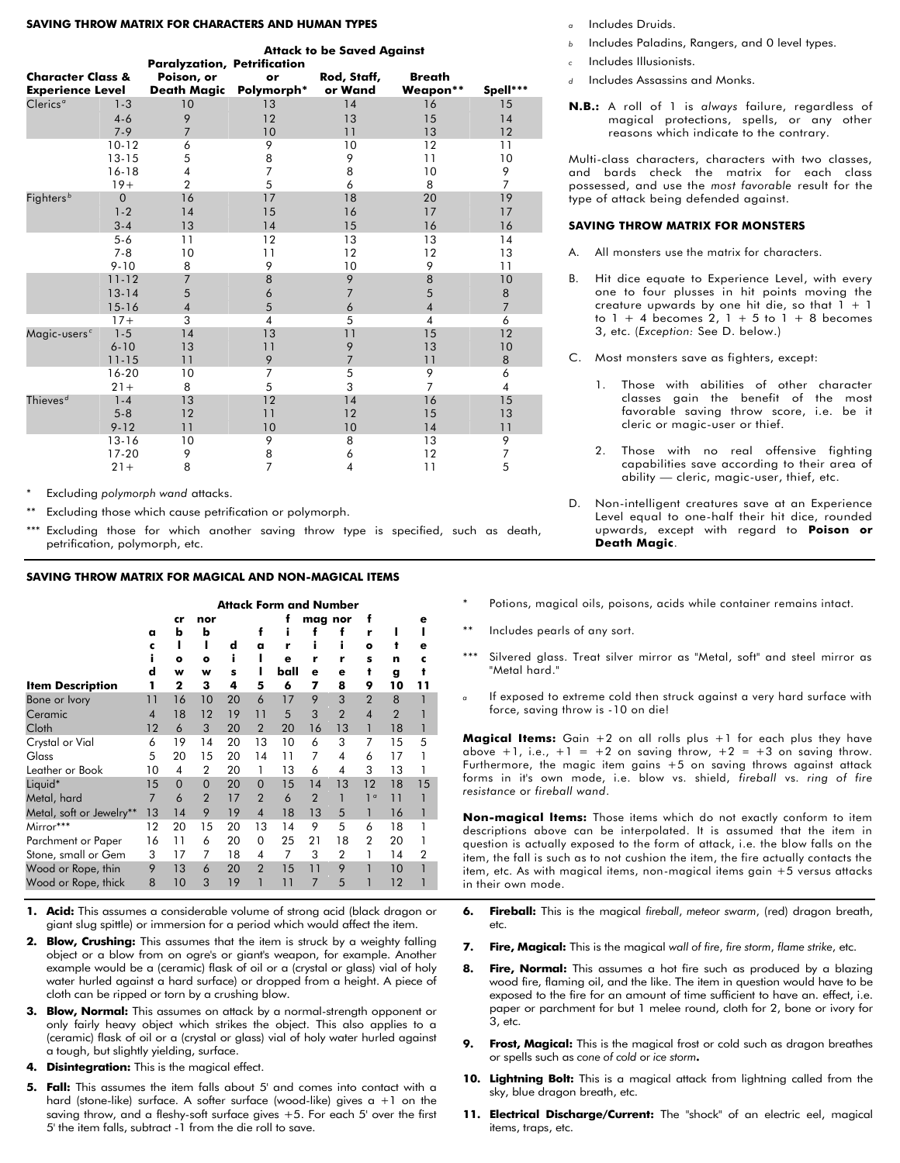#### **SAVING THROW MATRIX FOR CHARACTERS AND HUMAN TYPES**

|                              |                |                                    |                | <b>Attack to be Saved Against</b> |                         |                |
|------------------------------|----------------|------------------------------------|----------------|-----------------------------------|-------------------------|----------------|
|                              |                | <b>Paralyzation, Petrification</b> |                |                                   |                         |                |
| <b>Character Class &amp;</b> |                | Poison, or                         | or             | Rod, Staff,                       | <b>Breath</b>           |                |
| <b>Experience Level</b>      |                | Death Magic Polymorph*             |                | or Wand                           | Weapon**                | Spell***       |
| Clerics <sup>a</sup>         | $1 - 3$        | 10                                 | 13             | 14                                | 16                      | 15             |
|                              | $4 - 6$        | 9                                  | 12             | 13                                | 15                      | 14             |
|                              | $7 - 9$        | $\overline{7}$                     | 10             | 11                                | 13                      | 12             |
|                              | $10 - 12$      | 6                                  | 9              | 10                                | 12                      | 11             |
|                              | $13 - 15$      | 5                                  | 8              | 9                                 | 11                      | 10             |
|                              | $16 - 18$      | $\overline{\mathbf{4}}$            | 7              | 8                                 | 10                      | 9              |
|                              | $19+$          | $\overline{2}$                     | 5              | 6                                 | 8                       | $\overline{7}$ |
| Fighters <sup>b</sup>        | $\overline{0}$ | 16                                 | 17             | 18                                | 20                      | 19             |
|                              | $1 - 2$        | 14                                 | 15             | 16                                | 17                      | 17             |
|                              | $3 - 4$        | 13                                 | 14             | 15                                | 16                      | 16             |
|                              | $5 - 6$        | 11                                 | 12             | 13                                | 13                      | 14             |
|                              | $7 - 8$        | 10                                 | 11             | 12                                | 12                      | 13             |
|                              | $9 - 10$       | 8                                  | 9              | 10                                | 9                       | 11             |
|                              | $11 - 12$      | 7                                  | 8              | 9                                 | 8                       | 10             |
|                              | $13 - 14$      | 5                                  | 6              | 7                                 | 5                       | 8              |
|                              | $15 - 16$      | $\overline{4}$                     | 5              | 6                                 | $\overline{4}$          | $\overline{7}$ |
|                              | $17+$          | 3                                  | 4              | 5                                 | $\overline{\mathbf{4}}$ | 6              |
| Magic-users <sup>c</sup>     | $1 - 5$        | 14                                 | 13             | 11                                | 15                      | 12             |
|                              | $6 - 10$       | 13                                 | 11             | 9                                 | 13                      | 10             |
|                              | $11 - 15$      | 11                                 | 9              | $\overline{7}$                    | 11                      | 8              |
|                              | 16-20          | 10                                 | 7              | 5                                 | 9                       | 6              |
|                              | $21 +$         | 8                                  | 5              | 3                                 | $\overline{7}$          | 4              |
| Thieves $^d$                 | $1 - 4$        | 13                                 | 12             | 14                                | 16                      | 15             |
|                              | $5 - 8$        | 12                                 | 11             | 12                                | 15                      | 13             |
|                              | $9 - 12$       | 11                                 | 10             | 10                                | 14                      | 11             |
|                              | $13 - 16$      | 10                                 | 9              | 8                                 | 13                      | 9              |
|                              | $17 - 20$      | 9                                  | 8              | 6                                 | 12                      | 7              |
|                              | $21 +$         | 8                                  | $\overline{7}$ | 4                                 | 11                      | 5              |

Excluding *polymorph* wand attacks.

Excluding those which cause petrification or polymorph.

Excluding those for which another saving throw type is specified, such as death, petrification, polymorph, etc.

#### **SAVING THROW MATRIX FOR MAGICAL AND NON-MAGICAL ITEMS**

|                          |                |           |                |    |                | <b>Attack Form and Number</b> |                |                |                |                |                |
|--------------------------|----------------|-----------|----------------|----|----------------|-------------------------------|----------------|----------------|----------------|----------------|----------------|
|                          |                | cr        | nor            |    |                | f                             |                | mag nor        | f              |                | е              |
|                          | a              | b         | b              |    | f              | Ť                             |                | t              | ۲              | ı              |                |
|                          | c              |           |                | d  | a              | r                             |                |                | $\bullet$      | t              | е              |
|                          |                | $\bullet$ | $\bullet$      | i  |                | e                             | r              | r              | s              | n              | c              |
|                          | d              | w         | w              | s  | ı              | ball                          | е              | е              | t              | g              | t              |
| <b>Item Description</b>  |                | 2         | з              | 4  | 5              | 6                             | 7              | 8              | 9              | 10             | 11             |
| Bone or Ivory            | 11             | 16        | 10             | 20 | 6              | 17                            | 9              | 3              | $\overline{2}$ | 8              | 1              |
| Ceramic                  | 4              | 18        | 12             | 19 | 11             | 5                             | 3              | $\overline{2}$ | $\overline{4}$ | $\overline{2}$ |                |
| Cloth                    | 12             | 6         | 3              | 20 | $\overline{2}$ | 20                            | 16             | 13             | 1              | 18             | 1              |
| Crystal or Vial          | 6              | 19        | 14             | 20 | 13             | 10                            | 6              | 3              | 7              | 15             | 5              |
| Glass                    | 5              | 20        | 15             | 20 | 14             | 11                            | 7              | 4              | 6              | 17             | 1              |
| Leather or Book          | 10             | 4         | $\overline{2}$ | 20 | 1              | 13                            | 6              | 4              | 3              | 13             | 1              |
| Liquid*                  | 15             | $\Omega$  | $\Omega$       | 20 | $\mathbf 0$    | 15                            | 14             | 13             | 12             | 18             | 15             |
| Metal, hard              | $\overline{7}$ | 6         | $\overline{2}$ | 17 | $\overline{2}$ | 6                             | $\overline{2}$ |                | 1 <sup>a</sup> | 11             | 1              |
| Metal, soft or Jewelry** | 13             | 14        | 9              | 19 | $\overline{4}$ | 18                            | 13             | 5              | 1              | 16             | 1              |
| Mirror***                | 12             | 20        | 15             | 20 | 13             | 14                            | 9              | 5              | 6              | 18             | 1              |
| Parchment or Paper       | 16             | 11        | 6              | 20 | 0              | 25                            | 21             | 18             | $\overline{2}$ | 20             |                |
| Stone, small or Gem      | 3              | 17        | 7              | 18 | 4              | 7                             | 3              | $\overline{2}$ | 1              | 14             | $\overline{2}$ |
| Wood or Rope, thin       | 9              | 13        | 6              | 20 | $\overline{2}$ | 15                            | 11             | 9              | 1              | 10             | 1              |
| Wood or Rope, thick      | 8              | 10        | 3              | 19 | 1              | 11                            | 7              | 5              | 1              | 12             | 1              |

- **1. Acid:** This assumes a considerable volume of strong acid (black dragon or giant slug spittle) or immersion for a period which would affect the item.
- **2. Blow, Crushing:** This assumes that the item is struck by a weighty faIling object or a blow from on ogre's or giant's weapon, for example. Another example would be a (ceramic) flask of oil or a (crystal or glass) vial of holy water hurled against a hard surface) or dropped from a height. A piece of cloth can be ripped or torn by a crushing blow.
- **3. Blow, Normal:** This assumes on attack by a normal-strength opponent or only fairly heavy object which strikes the object. This also applies to a (ceramic) flask of oil or a (crystal or glass) vial of holy water hurled against a tough, but slightly yielding, surface.
- **4. Disintegration:** This is the magical effect.
- **5. Fall:** This assumes the item falls about 5' and comes into contact with a hard (stone-like) surface. A softer surface (wood-like) gives  $a + 1$  on the saving throw, and a fleshy-soft surface gives +5. For each 5' over the first 5' the item falls, subtract -1 from the die roll to save.
- *<sup>a</sup>* Includes Druids.
- *<sup>b</sup>* Includes Paladins, Rangers, and 0 level types.
- *<sup>c</sup>* Includes Illusionists.
- *<sup>d</sup>* Includes Assassins and Monks.
- **N.B.:** A roll of 1 is *always* failure, regardless of magical protections, spells, or any other reasons which indicate to the contrary.

Multi-class characters, characters with two classes, and bards check the matrix for each class possessed, and use the *most favorable* result for the type of attack being defended against.

#### **SAVING THROW MATRIX FOR MONSTERS**

- A. All monsters use the matrix for characters.
- B. Hit dice equate to Experience Level, with every one to four plusses in hit points moving the creature upwards by one hit die, so that  $1 + 1$ to  $1 + 4$  becomes 2,  $1 + 5$  to  $1 + 8$  becomes 3, etc. (*Exception:* See D. below.)
- C. Most monsters save as fighters, except:
	- 1. Those with abilities of other character classes gain the benefit of the most favorable saving throw score, i.e. be it cleric or magic-user or thief.
	- 2. Those with no real offensive fighting capabilities save according to their area of ability — cleric, magic-user, thief, etc.
- Non-intelligent creatures save at an Experience Level equal to one-half their hit dice, rounded upwards, except with regard to **Poison or Death Magic**.
- Potions, magical oils, poisons, acids while container remains intact.
- Includes pearls of any sort.
- Silvered glass. Treat silver mirror as "Metal, soft" and steel mirror as "Metal hard."
- If exposed to extreme cold then struck against a very hard surface with force, saving throw is -10 on die!

**Magical Items:** Gain +2 on all rolls plus +1 for each plus they have above +1, i.e., +1 = +2 on saving throw, +2 = +3 on saving throw. Furthermore, the magic item gains  $+5$  on saving throws against attack forms in it's own mode, i.e. blow vs. shield, *fireball* vs. *ring of fire resistance* or *fireball wand*.

**Non-magical ltems:** Those items which do not exactly conform to item descriptions above can be interpolated. It is assumed that the item in question is actually exposed to the form of attack, i.e. the blow falls on the item, the fall is such as to not cushion the item, the fire actually contacts the item, etc. As with magical items, non-magical items gain +5 versus attacks in their own mode.

- **6. Fireball:** This is the magical *fireball*, *meteor swarm*, (red) dragon breath, etc.
- **7. Fire, Magical:** This is the magical *wall of fire*, *fire storm*, *flame strike*, etc.
- **8. Fire, Normal:** This assumes a hot fire such as produced by a blazing wood fire, flaming oil, and the like. The item in question would have to be exposed to the fire for an amount of time sufficient to have an. effect, i.e. paper or parchment for but 1 melee round, cloth for 2, bone or ivory for 3, etc.
- **9. Frost, Magical:** This is the magical frost or cold such as dragon breathes or spells such as *cone of cold* or *ice storm***.**
- **10. Lightning Bolt:** This is a magical attack from lightning called from the sky, blue dragon breath, etc.
- **11. Electrical Discharge/Current:** The "shock" of an electric eel, magical items, traps, etc.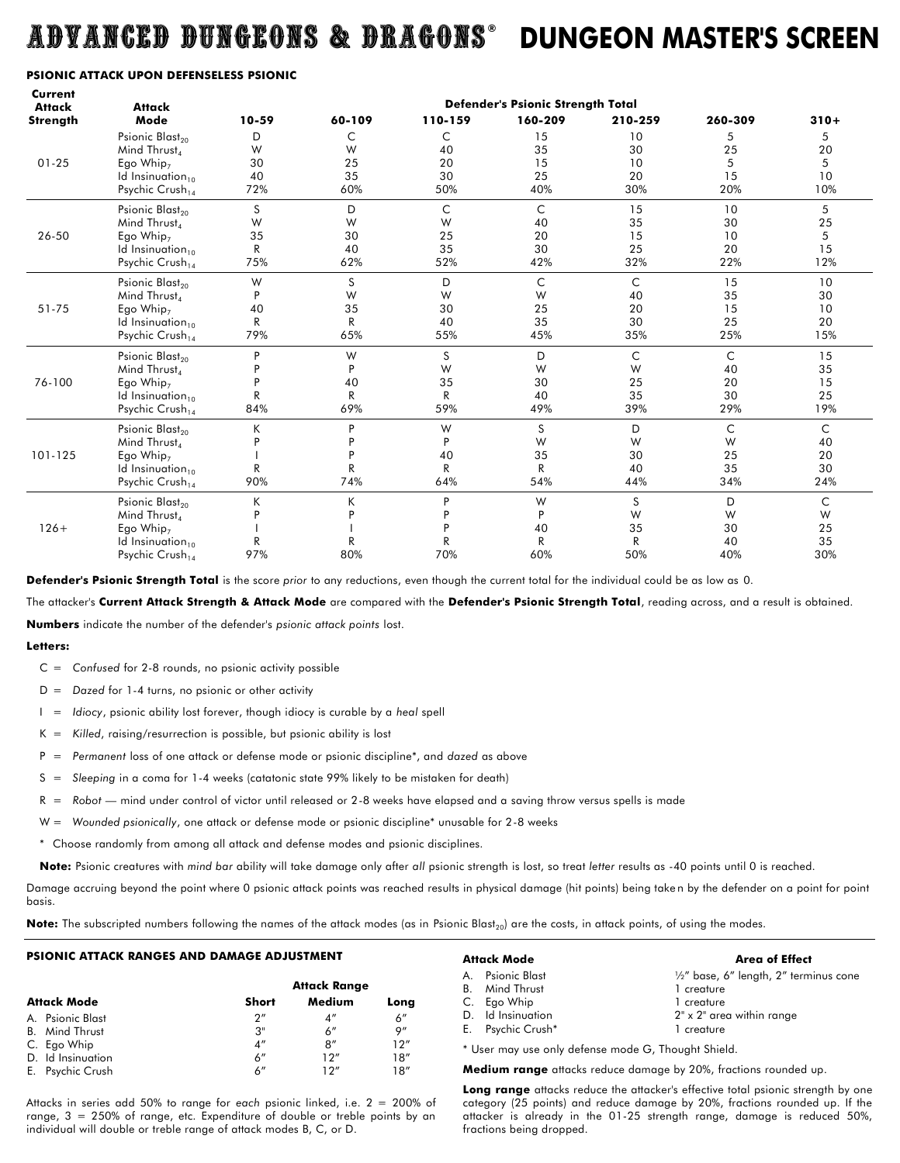## ADVANCED DUNGEONS & DRAGONS **® DUNGEON MASTER'S SCREEN**

#### **PSIONIC ATTACK UPON DEFENSELESS PSIONIC**

| Current<br><b>Attack</b> | <b>Attack</b>                                                                                                                                   | <b>Defender's Psionic Strength Total</b> |                                     |                                      |                                       |                                       |                             |                             |  |  |
|--------------------------|-------------------------------------------------------------------------------------------------------------------------------------------------|------------------------------------------|-------------------------------------|--------------------------------------|---------------------------------------|---------------------------------------|-----------------------------|-----------------------------|--|--|
| Strength                 | Mode                                                                                                                                            | 10-59                                    | 60-109                              | 110-159                              | 160-209                               | 210-259                               | 260-309                     | $310+$                      |  |  |
|                          | Psionic Blast <sub>20</sub><br>Mind Thrust                                                                                                      | D<br>W                                   | C<br>W                              | C<br>40                              | 15<br>35                              | 10<br>30                              | 5<br>25                     | 5<br>20                     |  |  |
| $01 - 25$                | Ego Whip <sub>7</sub><br>Id Insinuation <sub>10</sub><br>Psychic Crush <sub>14</sub>                                                            | 30<br>40<br>72%                          | 25<br>35<br>60%                     | 20<br>30<br>50%                      | 15<br>25<br>40%                       | 10<br>20<br>30%                       | 5<br>15<br>20%              | 5<br>10<br>10%              |  |  |
| 26-50                    | Psionic Blast <sub>20</sub><br>Mind Thrust <sub>4</sub><br>Ego Whip <sub>7</sub><br>Id Insinuation <sub>10</sub><br>Psychic Crush <sub>14</sub> | S<br>W<br>35<br>R<br>75%                 | D<br>W<br>30<br>40<br>62%           | $\mathsf{C}$<br>W<br>25<br>35<br>52% | $\mathsf{C}$<br>40<br>20<br>30<br>42% | 15<br>35<br>15<br>25<br>32%           | 10<br>30<br>10<br>20<br>22% | 5<br>25<br>5<br>15<br>12%   |  |  |
| 51-75                    | Psionic Blast <sub>20</sub><br>Mind Thrust<br>Ego Whip <sub>7</sub><br>Id Insinuation <sub>10</sub><br>Psychic Crush <sub>14</sub>              | W<br>P<br>40<br>R<br>79%                 | S<br>W<br>35<br>$\mathsf{R}$<br>65% | D<br>W<br>30<br>40<br>55%            | $\mathsf{C}$<br>W<br>25<br>35<br>45%  | $\mathsf{C}$<br>40<br>20<br>30<br>35% | 15<br>35<br>15<br>25<br>25% | 10<br>30<br>10<br>20<br>15% |  |  |
| 76-100                   | Psionic Blast <sub>20</sub><br>Mind Thrust,<br>Ego Whip <sub>7</sub><br>Id Insinuation <sub>10</sub><br>Psychic $Crush_{14}$                    | P<br>R<br>84%                            | W<br>P<br>40<br>R<br>69%            | S<br>W<br>35<br>R<br>59%             | D<br>W<br>30<br>40<br>49%             | C<br>W<br>25<br>35<br>39%             | C<br>40<br>20<br>30<br>29%  | 15<br>35<br>15<br>25<br>19% |  |  |
| 101-125                  | Psionic Blast <sub>20</sub><br>Mind Thrust<br>Ego Whip <sub>7</sub><br>Id Insinuation <sub>10</sub><br>Psychic Crush <sub>14</sub>              | K<br>D<br>R<br>90%                       | P<br>P<br>P<br>R<br>74%             | W<br>P<br>40<br>R<br>64%             | S<br>W<br>35<br>R<br>54%              | D<br>W<br>30<br>40<br>44%             | C<br>W<br>25<br>35<br>34%   | C<br>40<br>20<br>30<br>24%  |  |  |
| $126+$                   | Psionic Blast <sub>20</sub><br>Mind Thrust <sub>4</sub><br>Ego Whip <sub>7</sub><br>Id Insinuation <sub>10</sub><br>Psychic Crush <sub>14</sub> | Κ<br>D<br>R<br>97%                       | К<br>P<br>R<br>80%                  | P<br>P<br>D<br>R<br>70%              | W<br>P<br>40<br>R<br>60%              | S<br>W<br>35<br>R<br>50%              | D<br>W<br>30<br>40<br>40%   | C<br>W<br>25<br>35<br>30%   |  |  |

**Defender's Psionic Strength Total** is the score *prior* to any reductions, even though the current total for the individual could be as low as 0.

The attacker's **Current Attack Strength & Attack Mode** are compared with the **Defender's Psionic Strength Total**, reading across, and a result is obtained. **Numbers** indicate the number of the defender's *psionic attack points* lost.

#### **Letters:**

- C = *Confused* for 2-8 rounds, no psionic activity possible
- D = *Dazed* for 1-4 turns, no psionic or other activity
- I = *Idiocy*, psionic ability lost forever, though idiocy is curable by a *heal* spell
- K = *Killed*, raising/resurrection is possible, but psionic ability is lost
- P = *Permanent* loss of one attack or defense mode or psionic discipline\*, and *dazed* as above
- S = *Sleeping* in a coma for 1-4 weeks (catatonic state 99% likely to be mistaken for death)
- R = *Robot* mind under control of victor until released or 2-8 weeks have elapsed and a saving throw versus spells is made
- W = Wounded psionically, one attack or defense mode or psionic discipline<sup>\*</sup> unusable for 2-8 weeks
- \* Choose randomly from among all attack and defense modes and psionic disciplines.

**Note:** Psionic creatures with *mind bar* ability will take damage only after *all* psionic strength is lost, so treat *letter* results as -40 points until 0 is reached.

Damage accruing beyond the point where 0 psionic attack points was reached results in physical damage (hit points) being take n by the defender on a point for point basis.

Note: The subscripted numbers following the names of the attack modes (as in Psionic Blast<sub>20</sub>) are the costs, in attack points, of using the modes.

#### **PSIONIC ATTACK RANGES AND DAMAGE ADJUSTMENT**

|                       |       | Attack Range       |      |
|-----------------------|-------|--------------------|------|
| <b>Attack Mode</b>    | Short | Medium             | Long |
| A. Psionic Blast      | 2''   | $4^{\prime\prime}$ | 6''  |
| <b>B.</b> Mind Thrust | 3"    | 6″                 | Q''  |
| C. Ego Whip           | 4″    | 8″                 | 12"  |
| D. Id Insinuation     | 6''   | 12"                | 18″  |
| E. Psychic Crush      | 6″    | 12''               | 18'' |

Attacks in series add 50% to range for *each* psionic linked, i.e. 2 = 200% of range, 3 = 250% of range, etc. Expenditure of double or treble points by an individual will double or treble range of attack modes B, C, or D.

| Attack Mode           | <b>Area of Effect</b>                             |
|-----------------------|---------------------------------------------------|
| A. Psionic Blast      | $\frac{1}{2}$ " base, 6" length, 2" terminus cone |
| <b>B.</b> Mind Thrust | 1 creature                                        |
| C. Ego Whip           | 1 creature                                        |
| D. Id Insinuation     | $2" \times 2"$ area within range                  |
| E. Psychic Crush*     | 1 creature                                        |
|                       |                                                   |

\* User may use only defense mode G, Thought Shield.

**Medium range** attacks reduce damage by 20%, fractions rounded up.

Long range attacks reduce the attacker's effective total psionic strength by one category (25 points) and reduce damage by 20%, fractions rounded up. If the attacker is already in the 01-25 strength range, damage is reduced 50%, fractions being dropped.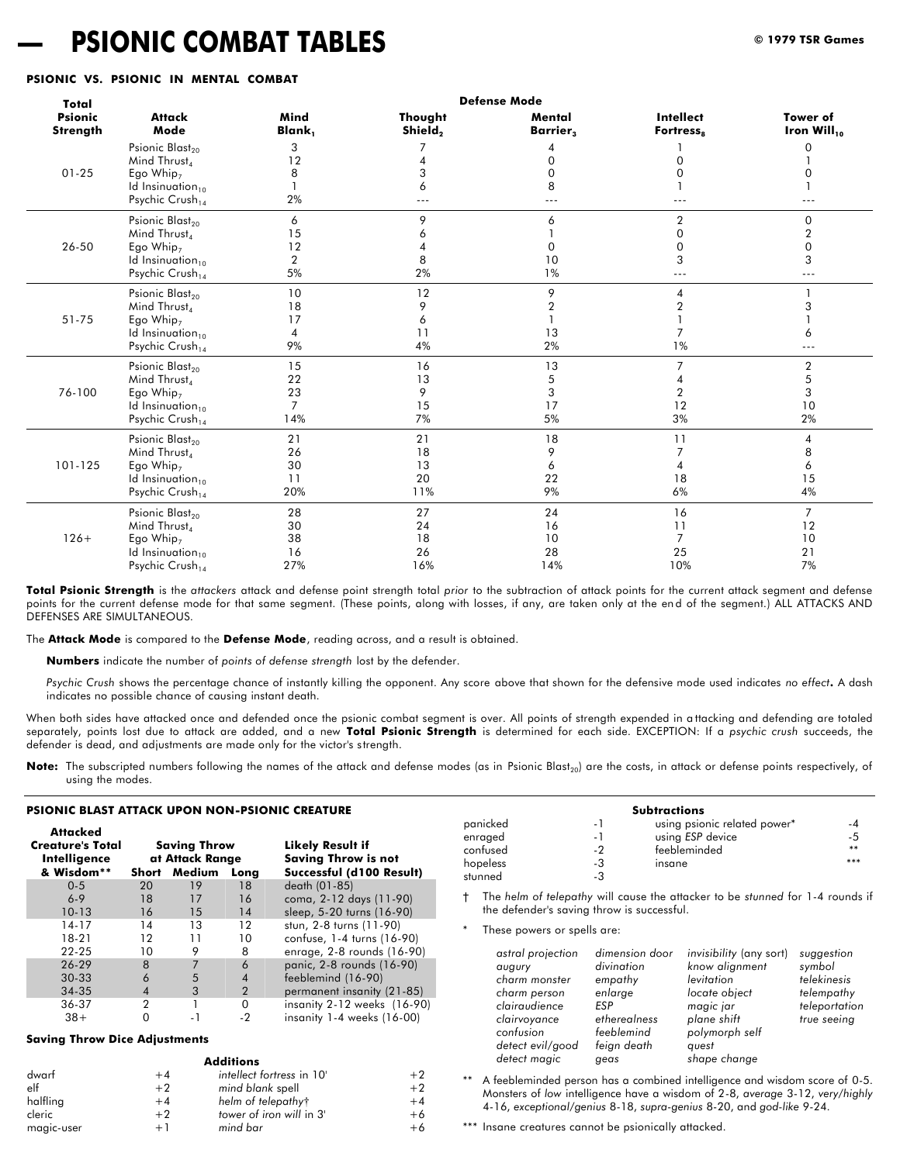## **— PSIONIC COMBAT TABLES © 1979 TSR Games**

#### **PSIONIC VS. PSIONIC IN MENTAL COMBAT**

| Total                      |                                                                                                                                                 |                                         |                             | <b>Defense Mode</b>             |                                                    |                                                    |
|----------------------------|-------------------------------------------------------------------------------------------------------------------------------------------------|-----------------------------------------|-----------------------------|---------------------------------|----------------------------------------------------|----------------------------------------------------|
| <b>Psionic</b><br>Strength | <b>Attack</b><br>Mode                                                                                                                           | Mind<br>Blank,                          | Thought<br>Shield,          | Mental<br>Barrier <sub>3</sub>  | <b>Intellect</b><br>Fortress <sub>s</sub>          | Tower of<br>Iron $Will_{10}$                       |
| $01 - 25$                  | Psionic Blast <sub>20</sub><br>Mind Thrust                                                                                                      | 3<br>12<br>8                            | 3                           | 0<br>$\Omega$                   | ∩                                                  | 0<br>U                                             |
|                            | Ego Whip <sub>7</sub><br>Id Insinuation <sub>10</sub><br>Psychic Crush <sub>14</sub>                                                            | 2%                                      | 6                           | 8<br>$--$                       | ---                                                |                                                    |
| 26-50                      | Psionic Blast <sub>20</sub><br>Mind Thrust <sub>4</sub><br>Ego Whip <sub>7</sub><br>Id Insinuation <sub>10</sub><br>Psychic Crush <sub>14</sub> | 6<br>15<br>12<br>$\overline{2}$<br>5%   | 9<br>8<br>2%                | 6<br>$\Omega$<br>10<br>1%       | $\overline{2}$<br>$\Omega$<br>$\Omega$<br>3<br>--- | $\Omega$<br>$\overline{2}$<br>$\Omega$<br>3<br>--- |
| 51-75                      | Psionic Blast <sub>20</sub><br>Mind Thrust<br>Ego Whip <sub>7</sub><br>Id Insinuation <sub>10</sub><br>Psychic Crush <sub>14</sub>              | 10<br>18<br>17<br>4<br>9%               | 12<br>9<br>6<br>11<br>4%    | 9<br>$\overline{2}$<br>13<br>2% | 4<br>1%                                            | 3<br>6<br>$---$                                    |
| 76-100                     | Psionic Blast <sub>20</sub><br>Mind Thrust <sub>4</sub><br>Ego Whip <sub>7</sub><br>Id Insinuation <sub>10</sub><br>Psychic Crush <sub>14</sub> | 15<br>22<br>23<br>$\overline{7}$<br>14% | 16<br>13<br>9<br>15<br>7%   | 13<br>5<br>3<br>17<br>5%        | 2<br>12<br>3%                                      | $\overline{2}$<br>5<br>3<br>10<br>2%               |
| 101-125                    | Psionic Blast <sub>20</sub><br>Mind Thrust<br>Ego Whip <sub>7</sub><br>Id Insinuation <sub>10</sub><br>Psychic Crush <sub>14</sub>              | 21<br>26<br>30<br>11<br>20%             | 21<br>18<br>13<br>20<br>11% | 18<br>9<br>6<br>22<br>9%        | 11<br>18<br>6%                                     | 4<br>8<br>6<br>15<br>4%                            |
| $126+$                     | Psionic Blast <sub>20</sub><br>Mind Thrust<br>Ego Whip <sub>7</sub><br>Id Insinuation <sub>10</sub><br>Psychic Crush <sub>14</sub>              | 28<br>30<br>38<br>16<br>27%             | 27<br>24<br>18<br>26<br>16% | 24<br>16<br>10<br>28<br>14%     | 16<br>11<br>$\overline{7}$<br>25<br>10%            | $\overline{7}$<br>12<br>10<br>21<br>7%             |

**Total Psionic Strength** is the *attackers* attack and defense point strength total *prior* to the subtraction of attack points for the current attack segment and defense points for the current defense mode for that same segment. (These points, along with losses, if any, are taken only at the end of the segment.) ALL ATTACKS AND DEFENSES ARE SIMULTANEOUS.

The **Attack Mode** is compared to the **Defense Mode**, reading across, and a result is obtained.

**Numbers** indicate the number of *points of defense strength* lost by the defender.

*Psychic Crush* shows the percentage chance of instantly killing the opponent. Any score above that shown for the defensive mode used indicates *no effect***.** A dash indicates no possible chance of causing instant death.

When both sides have attacked once and defended once the psionic combat segment is over. All points of strength expended in a ttacking and defending are totaled separately, points lost due to attack are added, and a new **Total Psionic Strength** is determined for each side. EXCEPTION: If a *psychic crush* succeeds, the defender is dead, and adjustments are made only for the victor's s trength.

Note: The subscripted numbers following the names of the attack and defense modes (as in Psionic Blast<sub>20</sub>) are the costs, in attack or defense points respectively, of using the modes.

#### **PSIONIC BLAST ATTACK UPON NON-PSIONIC CREATURE**

| Attacked                |              |                 |                |                                 |
|-------------------------|--------------|-----------------|----------------|---------------------------------|
| <b>Creature's Total</b> |              | Saving Throw    |                | <b>Likely Result if</b>         |
| Intelligence            |              | at Attack Range |                | <b>Saving Throw is not</b>      |
| & Wisdom**              | <b>Short</b> | Medium          | Long           | Successful (d100 Result)        |
| $0 - 5$                 | 20           | 19              | 18             | death (01-85)                   |
| $6 - 9$                 | 18           | 17              | 16             | coma, 2-12 days (11-90)         |
| $10 - 13$               | 16           | 15              | 14             | sleep, 5-20 turns (16-90)       |
| $14 - 17$               | 14           | 13              | 12             | stun, 2-8 turns (11-90)         |
| 18-21                   | 12           | 11              | 10             | confuse, 1-4 turns (16-90)      |
| $22 - 25$               | 10           | 9               | 8              | enrage, 2-8 rounds (16-90)      |
| 26-29                   | 8            |                 | 6              | panic, 2-8 rounds (16-90)       |
| $30-33$                 | 6            | 5               | $\overline{4}$ | feeblemind (16-90)              |
| 34-35                   | 4            | 3               | $\overline{2}$ | permanent insanity (21-85)      |
| 36-37                   | 2            |                 | 0              | insanity $2-12$ weeks $(16-90)$ |
| $38+$                   |              |                 | -2             | insanity 1-4 weeks (16-00)      |

#### **Saving Throw Dice Adjustments**

|            |      | <b>Additions</b>          |      |
|------------|------|---------------------------|------|
| dwarf      | $+4$ | intellect fortress in 10' | $+2$ |
| elf        | $+2$ | mind blank spell          | $+2$ |
| halfling   | $+4$ | helm of telepathyt        | $+4$ |
| cleric     | $+2$ | tower of iron will in 3'  | +6   |
| magic-user | + 1  | mind bar                  | +6   |

**Additions**

|          |     | <b>Subtractions</b>          |      |
|----------|-----|------------------------------|------|
| panicked | - 1 | using psionic related power* | -4   |
| enraged  | - 1 | using ESP device             | -5   |
| confused | - 2 | feebleminded                 | $**$ |
| hopeless | -3  | insane                       | ***  |
| stunned  | -3  |                              |      |

† The *helm of telepathy* will cause the attacker to be *stunned* for 1-4 rounds if the defender's saving throw is successful.

These powers or spells are:

| levitation<br>charm monster<br>empathy<br>enlarge<br>locate object<br>charm person<br>clairaudience<br><b>FSP</b><br>magic jar<br>plane shift<br>etherealness<br>clairvoyance<br>polymorph self<br>confusion<br>feeblemind<br>feign death<br>detect evil/good<br>quest<br>detect magic<br>shape change<br>geas | telempathy<br>teleportation<br>true seeing |
|----------------------------------------------------------------------------------------------------------------------------------------------------------------------------------------------------------------------------------------------------------------------------------------------------------------|--------------------------------------------|
|                                                                                                                                                                                                                                                                                                                |                                            |

\*\* A feebleminded person has a combined intelligence and wisdom score of 0-5. Monsters of *low* intelligence have a wisdom of 2-8, *average* 3-12, *very/highly* 4-16, *exceptional/genius* 8-18, *supra-genius* 8-20, and *god-like* 9-24.

\*\*\* Insane creatures cannot be psionically attacked.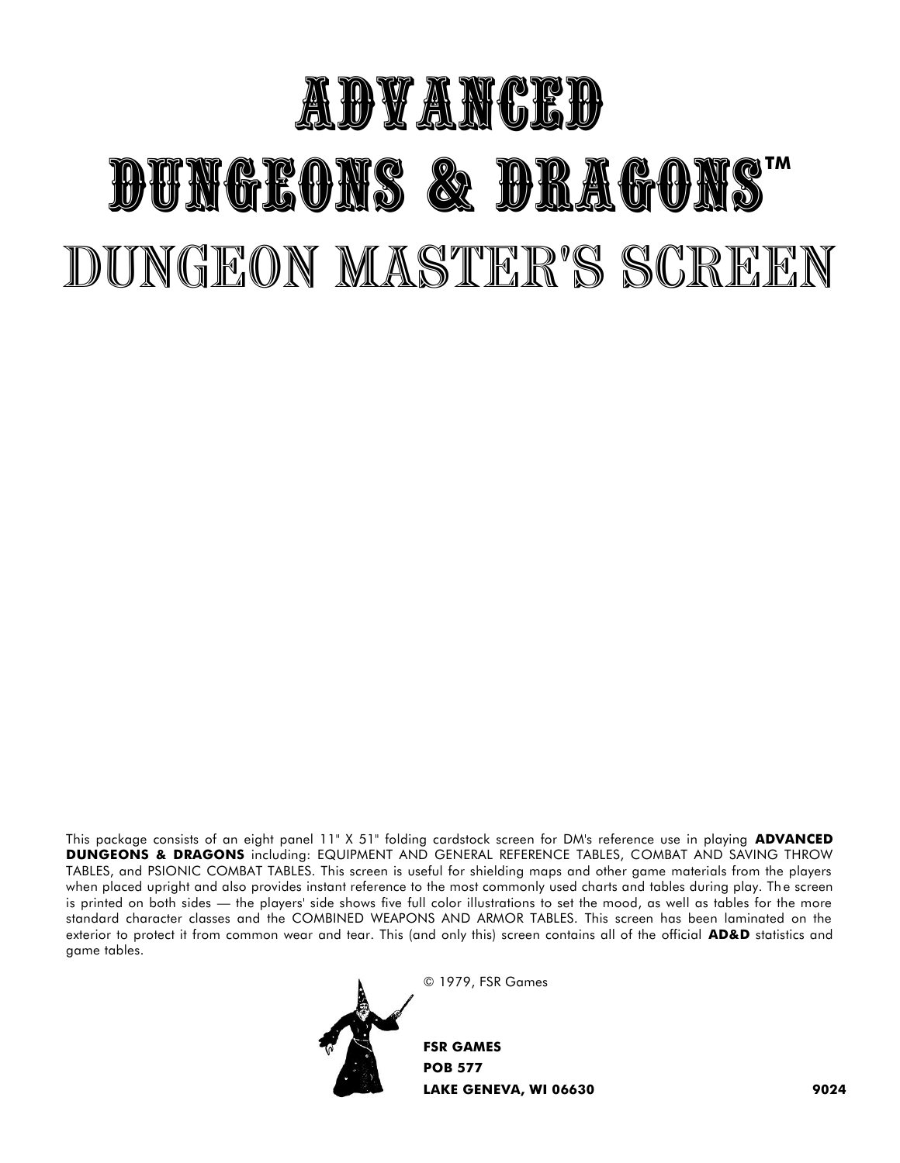# ADVANCED DUNGEONS & DRAGONS" DUNGEON MASTER'S SCREEN

This package consists of an eight panel 11" X 51" folding cardstock screen for DM's reference use in playing **ADVANCED DUNGEONS & DRAGONS** including: EQUIPMENT AND GENERAL REFERENCE TABLES, COMBAT AND SAVING THROW TABLES, and PSIONIC COMBAT TABLES. This screen is useful for shielding maps and other game materials from the players when placed upright and also provides instant reference to the most commonly used charts and tables during play. Th e screen is printed on both sides — the players' side shows five full color illustrations to set the mood, as well as tables for the more standard character classes and the COMBINED WEAPONS AND ARMOR TABLES. This screen has been laminated on the exterior to protect it from common wear and tear. This (and only this) screen contains all of the official **AD&D** statistics and game tables.



© 1979, FSR Games

**FSR GAMES POB 577 LAKE GENEVA, WI 06630 9024**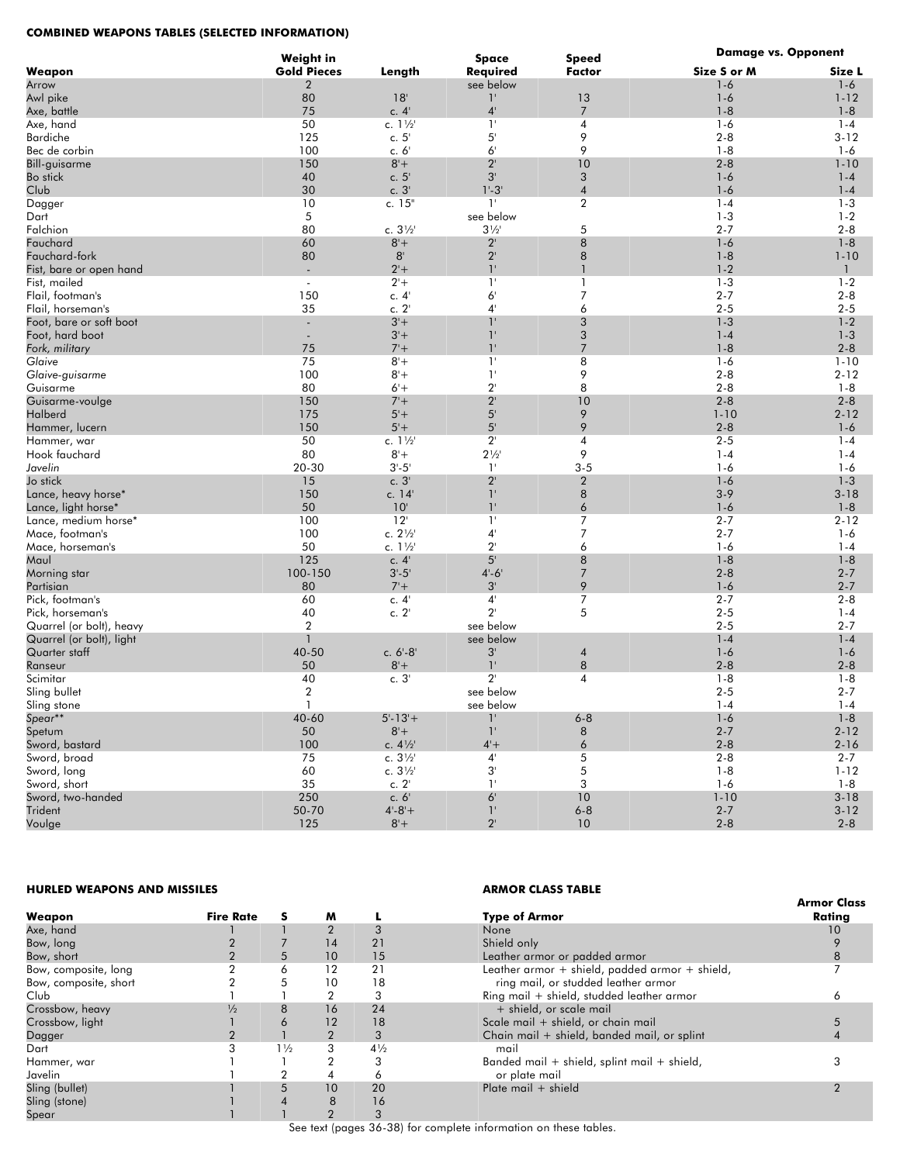#### **COMBINED WEAPONS TABLES (SELECTED INFORMATION)**

|                          | Weight in                |                   | <b>Space</b>   | <b>Speed</b>     | <b>Damage vs. Opponent</b> |              |
|--------------------------|--------------------------|-------------------|----------------|------------------|----------------------------|--------------|
| Weapon                   | <b>Gold Pieces</b>       | Length            | Required       | <b>Factor</b>    | Size S or M                | Size L       |
| Arrow                    | 2                        |                   | see below      |                  | $1 - 6$                    | $1 - 6$      |
| Awl pike                 | 80                       | 18'               | $1^{\circ}$    | 13               | $1 - 6$                    | $1 - 12$     |
| Axe, battle              | 75                       | c. $4'$           | $4^{\circ}$    | $\overline{7}$   | $1 - 8$                    | $1 - 8$      |
| Axe, hand                | 50                       | c. 11/2           | $1^{\circ}$    | $\overline{4}$   | $1 - 6$                    | $1 - 4$      |
| <b>Bardiche</b>          | 125                      | c. $51$           | 5'             | 9                | $2 - 8$                    | $3 - 12$     |
| Bec de corbin            | 100                      | c. 6'             | $6^{\circ}$    | 9                | $1 - 8$                    | $1 - 6$      |
| Bill-guisarme            | 150                      | $8'+$             | $2^{\circ}$    | 10               | $2 - 8$                    | $1 - 10$     |
| Bo stick                 | 40                       | c. $5'$           | $3^{\circ}$    | 3                | $1 - 6$                    | $1 - 4$      |
| Club                     | 30                       | c.3'              | $1' - 3'$      | $\overline{4}$   | $1 - 6$                    | $1 - 4$      |
| Dagger                   | 10                       | c. 15"            | $1^{\circ}$    | $\overline{2}$   | $1 - 4$                    | $1 - 3$      |
| Dart                     | 5                        |                   | see below      |                  | $1 - 3$                    | $1 - 2$      |
| Falchion                 | 80                       | c. $3\frac{1}{2}$ | $3\frac{1}{2}$ | 5                | $2 - 7$                    | $2 - 8$      |
| Fauchard                 | 60                       | $8+$              | $2^{\circ}$    | $\,8\,$          | $1 - 6$                    | $1 - 8$      |
| Fauchard-fork            | 80                       | 8 <sup>1</sup>    | $2^{\prime}$   | 8                | $1 - 8$                    | $1 - 10$     |
| Fist, bare or open hand  |                          | $2 +$             | $1^{\circ}$    | $\mathbf{1}$     | $1 - 2$                    | $\mathbf{1}$ |
| Fist, mailed             | $\overline{\phantom{a}}$ | $2 +$             | $1^{\circ}$    | $\mathbf{1}$     | $1 - 3$                    | $1 - 2$      |
| Flail, footman's         | 150                      | c.4               | 6 <sup>1</sup> | $\overline{7}$   | $2 - 7$                    | $2 - 8$      |
| Flail, horseman's        | 35                       | c. 2'             | $4^{\circ}$    | 6                | $2 - 5$                    | $2 - 5$      |
| Foot, bare or soft boot  | $\blacksquare$           | $3' +$            | $1^{\circ}$    | 3                | $1 - 3$                    | $1-2$        |
| Foot, hard boot          |                          | $3'+$             | 1'             | 3                | $1 - 4$                    | $1 - 3$      |
| Fork, military           | 75                       | $7 +$             | $1^{\circ}$    | $\overline{7}$   | $1 - 8$                    | $2 - 8$      |
| Glaive                   | 75                       | $8+$              | $1^{\circ}$    | 8                | $1-6$                      | $1 - 10$     |
| Glaive-guisarme          | 100                      | $8+$              | $1^{\circ}$    | 9                | $2 - 8$                    | $2 - 12$     |
| Guisarme                 | 80                       | $6'+$             | $2^{\circ}$    | 8                | $2 - 8$                    | $1 - 8$      |
| Guisarme-voulge          | 150                      | $7 +$             | $2^{\circ}$    | 10               | $2 - 8$                    | $2 - 8$      |
| Halberd                  | 175                      | $5+$              | 5'             | 9                | $1 - 10$                   | $2 - 12$     |
| Hammer, lucern           | 150                      | $5'+$             | 5'             | 9                | $2 - 8$                    | $1-6$        |
| Hammer, war              | 50                       | c. $1\frac{1}{2}$ | $2^{\circ}$    | 4                | $2 - 5$                    | $1 - 4$      |
| Hook fauchard            | 80                       | $8+$              | $2\frac{1}{2}$ | 9                | $1 - 4$                    | $1 - 4$      |
| Javelin                  | 20-30                    | $3 - 5'$          | $1^{\circ}$    | $3 - 5$          | $1 - 6$                    | $1 - 6$      |
| Jo stick                 | 15                       | c.3'              | $2^{\circ}$    | $\overline{2}$   | $1 - 6$                    | $1 - 3$      |
| Lance, heavy horse*      | 150                      | c. 14'            | $1^{\circ}$    | 8                | $3 - 9$                    | $3 - 18$     |
| Lance, light horse*      | 50                       | $10^{\circ}$      | $1^{\circ}$    | $\boldsymbol{6}$ | $1 - 6$                    | $1 - 8$      |
| Lance, medium horse*     | 100                      | 12                | 1 <sup>1</sup> | $\overline{7}$   | $2 - 7$                    | $2 - 12$     |
| Mace, footman's          | 100                      | c. $2\frac{1}{2}$ | $4^{\circ}$    | $\overline{7}$   | $2 - 7$                    | $1 - 6$      |
| Mace, horseman's         | 50                       | c. 11/2           | $2^{\circ}$    | 6                | $1 - 6$                    | $1 - 4$      |
| Maul                     | 125                      | c. $4'$           | 5 <sup>1</sup> | 8                | $1 - 8$                    | $1 - 8$      |
| Morning star             | 100-150                  | $3 - 5'$          | $4 - 6$        | $\overline{7}$   | $2 - 8$                    | $2 - 7$      |
| Partisian                | 80                       | $7 +$             | $3^{\circ}$    | 9                | $1 - 6$                    | $2 - 7$      |
| Pick, footman's          | 60                       | c.4'              | $4^{\circ}$    | $\overline{7}$   | $2 - 7$                    | $2 - 8$      |
| Pick, horseman's         | 40                       | c. $2^{\prime}$   | $2^{\circ}$    | 5                | $2 - 5$                    | $1 - 4$      |
| Quarrel (or bolt), heavy | $\overline{a}$           |                   | see below      |                  | $2 - 5$                    | $2 - 7$      |
| Quarrel (or bolt), light | $\mathbf{1}$             |                   | see below      |                  | $1 - 4$                    | $1 - 4$      |
| Quarter staff            | 40-50                    | c. $6'-8'$        | $3^{\circ}$    | 4                | $1 - 6$                    | $1-6$        |
| Ranseur                  | 50                       | $8+$              | $1^{\circ}$    | 8                | $2 - 8$                    | $2 - 8$      |
| Scimitar                 | 40                       | c.3'              | $2^{\circ}$    | $\overline{4}$   | $1 - 8$                    | $1 - 8$      |
| Sling bullet             | $\overline{2}$           |                   | see below      |                  | $2 - 5$                    | $2 - 7$      |
| Sling stone              |                          |                   | see below      |                  | $1 - 4$                    | $1 - 4$      |
| Spear**                  | 40-60                    | $5 - 13 +$        | $1^{\circ}$    | $6 - 8$          | $1 - 6$                    | $1 - 8$      |
| Spetum                   | 50                       | $8+$              | 1'             | $\,8\,$          | $2 - 7$                    | $2 - 12$     |
| Sword, bastard           | 100                      | c. $4\frac{1}{2}$ | $4+$           | $\boldsymbol{6}$ | $2 - 8$                    | $2 - 16$     |
| Sword, broad             | 75                       | c. $3\frac{1}{2}$ | $4^{\circ}$    | 5                | $2 - 8$                    | $2 - 7$      |
| Sword, long              | 60                       | c. $3\frac{1}{2}$ | $3^{\circ}$    | 5                | $1 - 8$                    | $1 - 12$     |
| Sword, short             | 35                       | c. $2^{\prime}$   | $1^{\circ}$    | 3                | $1 - 6$                    | $1 - 8$      |
| Sword, two-handed        | 250                      | c. 6'             | $6^{\circ}$    | 10               | $1 - 10$                   | $3 - 18$     |
| Trident                  | 50-70                    | $4 - 8 +$         | $1^{\circ}$    | $6 - 8$          | $2 - 7$                    | $3 - 12$     |
| Voulge                   | 125                      | $8+$              | $2^{\circ}$    | 10               | $2 - 8$                    | $2 - 8$      |
|                          |                          |                   |                |                  |                            |              |

#### **HURLED WEAPONS AND MISSILES ARMOR CLASS TABLE**

| Weapon                | <b>Fire Rate</b> |                | M              |                | <b>Type of Armor</b>                            | <b>Armor Class</b><br>Rating |
|-----------------------|------------------|----------------|----------------|----------------|-------------------------------------------------|------------------------------|
| Axe, hand             |                  |                | $\overline{2}$ | 3              | None                                            | 10                           |
| Bow, long             |                  |                | 14             | 21             | Shield only                                     |                              |
| Bow, short            |                  | 5              | 10             | 15             | Leather armor or padded armor                   |                              |
| Bow, composite, long  |                  | 6              | 12             | 21             | Leather armor + shield, padded armor + shield,  |                              |
| Bow, composite, short |                  | 5              | 10             | 18             | ring mail, or studded leather armor             |                              |
| Club                  |                  |                | າ              | 3              | Ring mail + shield, studded leather armor       |                              |
| Crossbow, heavy       | $\frac{1}{2}$    | 8              | 16             | 24             | + shield, or scale mail                         |                              |
| Crossbow, light       |                  | 6              | 12             | 18             | Scale mail + shield, or chain mail              |                              |
| Dagger                |                  |                | 2              | 3              | Chain mail + shield, banded mail, or splint     |                              |
| Dart                  |                  | $1\frac{1}{2}$ | 3              | $4\frac{1}{2}$ | mail                                            |                              |
| Hammer, war           |                  |                |                | 3              | Banded mail $+$ shield, splint mail $+$ shield, |                              |
| Javelin               |                  |                |                | Ō              | or plate mail                                   |                              |
| Sling (bullet)        |                  | 5              | 10             | 20             | Plate mail $+$ shield                           |                              |
| Sling (stone)         |                  |                | 8              | 16             |                                                 |                              |
| Spear                 |                  |                |                | 3              |                                                 |                              |

See text (pages 36-38) for complete information on these tables.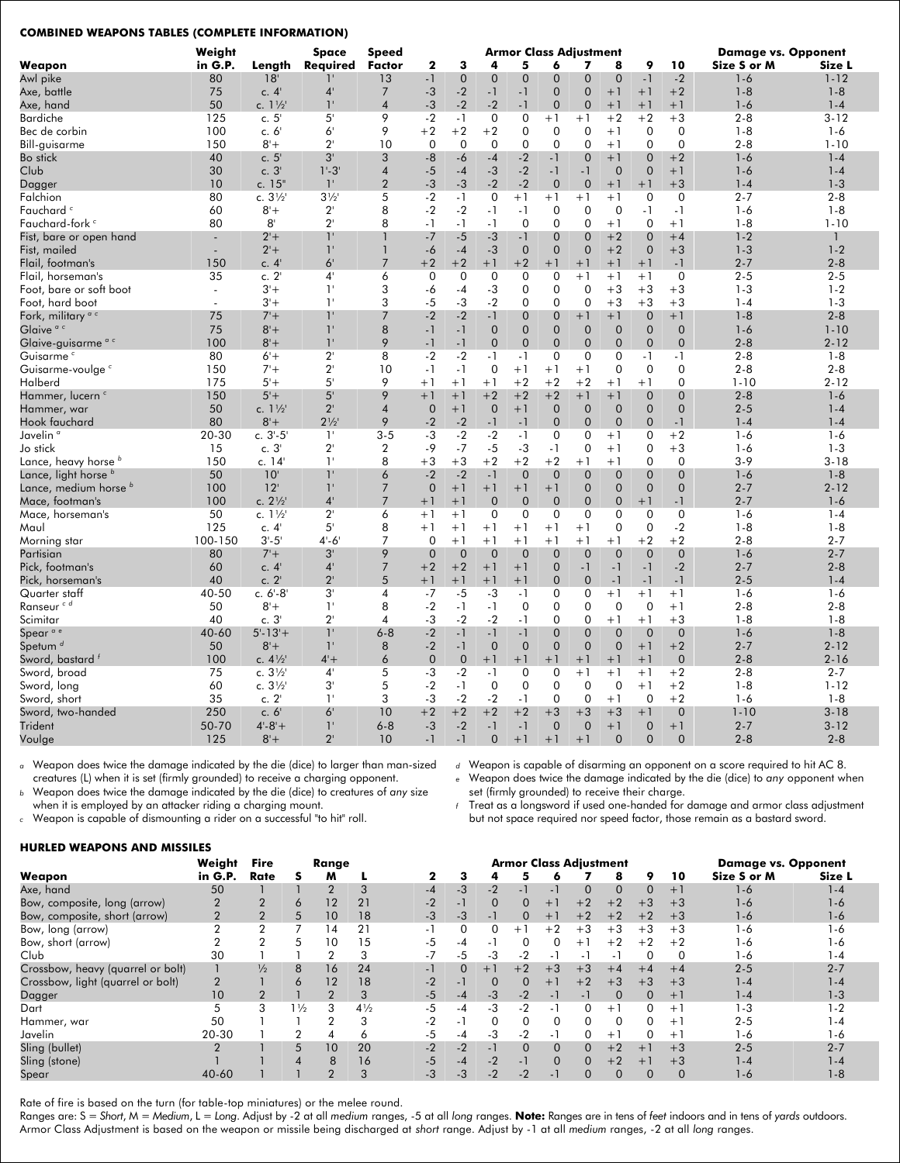#### **COMBINED WEAPONS TABLES (COMPLETE INFORMATION)**

|                                 | Weight                   |                   | Space          | Speed                   |                |                  |              |                | <b>Armor Class Adjustment</b> |                |                |                |                | <b>Damage vs. Opponent</b> |              |
|---------------------------------|--------------------------|-------------------|----------------|-------------------------|----------------|------------------|--------------|----------------|-------------------------------|----------------|----------------|----------------|----------------|----------------------------|--------------|
| Weapon                          | in G.P.                  | Length            | Required       | <b>Factor</b>           | $\mathbf{2}$   | 3                | 4            | 5              | 6                             | 7              | 8              | 9              | 10             | Size S or M                | Size L       |
| Awl pike                        | 80                       | 18'               | ı.             | 13                      | $-1$           | $\mathbf 0$      | $\mathbf{0}$ | $\mathbf 0$    | $\mathbf 0$                   | 0              | $\mathbf 0$    | $-1$           | $-2$           | $1 - 6$                    | $1 - 12$     |
| Axe, battle                     | 75                       | c.4'              | 4'             | $\overline{7}$          | $-3$           | $-2$             | $-1$         | $-1$           | $\overline{0}$                | $\overline{0}$ | $+1$           | $+1$           | $+2$           | $1 - 8$                    | $1 - 8$      |
| Axe, hand                       | 50                       | c. 11/2           | 1'             | $\overline{4}$          | $-3$           | $-2$             | $-2$         | $-1$           | $\mathbf{0}$                  | $\overline{0}$ | $+1$           | $+1$           | $+1$           | $1-6$                      | $1 - 4$      |
| <b>Bardiche</b>                 | 125                      | c.5'              | 5'             | 9                       | $-2$           | $-1$             | $\mathbf 0$  | $\overline{0}$ | $+1$                          | $+1$           | $+2$           | $+2$           | $+3$           | $2 - 8$                    | $3 - 12$     |
| Bec de corbin                   | 100                      | c. 6'             | 6 <sup>1</sup> | 9                       | $+2$           | $+2$             | $+2$         | $\mathbf 0$    | $\mathbf 0$                   | $\mathbf 0$    | $+1$           | $\mathbf 0$    | $\mathbf 0$    | $1 - 8$                    | $1 - 6$      |
| Bill-guisarme                   | 150                      | $8'+$             | $2^{\prime}$   | 10                      | $\Omega$       | $\boldsymbol{0}$ | $\Omega$     | $\mathbf 0$    | $\Omega$                      | $\overline{0}$ | $+1$           | $\Omega$       | $\Omega$       | $2 - 8$                    | $1 - 10$     |
| <b>Bo</b> stick                 | 40                       | c.5               | 3'             | 3                       | $-8$           | $-6$             | $-4$         | $-2$           | $-1$                          | $\overline{0}$ | $+1$           | $\overline{0}$ | $+2$           | $1 - 6$                    | $1 - 4$      |
| Club                            | 30                       | c.3'              | $1 - 3$        | $\overline{4}$          | $-5$           | $-4$             | $-3$         | $-2$           | $-1$                          | $-1$           | $\mathbf 0$    | $\mathbf 0$    | $+1$           | $1-6$                      | $1 - 4$      |
| Dagger                          | 10                       | c. 15"            | $1^{\circ}$    | $\overline{2}$          | $-3$           | $-3$             | $-2$         | $-2$           | $\mathbf{0}$                  | $\overline{0}$ | $+1$           | $+1$           | $+3$           | $1 - 4$                    | $1 - 3$      |
| Falchion                        | 80                       | c. $3\frac{1}{2}$ | $3\frac{1}{2}$ | 5                       | $-2$           | $-1$             | 0            | $+1$           | $+1$                          | $+1$           | $+1$           | $\mathbf 0$    | $\mathbf 0$    | $2 - 7$                    | $2 - 8$      |
| Fauchard <sup>c</sup>           | 60                       | $8'+$             | $2^{\prime}$   | 8                       | $-2$           | $-2$             | $-1$         | $-1$           | $\mathbf 0$                   | $\mathbf 0$    | $\mathbf 0$    | $-1$           | $-1$           | $1 - 6$                    | $1 - 8$      |
|                                 |                          |                   | $2^{\prime}$   |                         |                |                  |              |                |                               | $\Omega$       |                |                |                |                            |              |
| Fauchard-fork <sup>c</sup>      | 80                       | $8^{\circ}$       | 1'             | 8                       | $-1$           | $-1$             | $-1$         | $\mathbf 0$    | $\Omega$                      |                | $+1$           | $\mathbf 0$    | $+1$           | $1 - 8$                    | $1 - 10$     |
| Fist, bare or open hand         | $\overline{a}$           | $2 +$             |                |                         | $-7$           | $-5$             | $-3$         | $-1$           | $\mathbf{0}$                  | $\overline{0}$ | $+2$           | $\overline{0}$ | $+4$           | $1 - 2$                    | $\mathbf{1}$ |
| Fist, mailed                    | $\overline{\phantom{a}}$ | $2 +$             | $1^{\circ}$    | $\mathbf{1}$            | $-6$           | $-4$             | $-3$         | $\overline{0}$ | $\overline{0}$                | $\overline{0}$ | $+2$           | $\overline{0}$ | $+3$           | $1 - 3$                    | $1 - 2$      |
| Flail, footman's                | 150                      | c.4'              | 6 <sup>1</sup> | $\overline{7}$          | $+2$           | $+2$             | $+1$         | $+2$           | $+1$                          | $+1$           | $+1$           | $+1$           | $-1$           | $2 - 7$                    | $2 - 8$      |
| Flail, horseman's               | 35                       | c. 2'             | 4'             | 6                       | $\mathbf 0$    | $\mathbf 0$      | 0            | $\mathbf 0$    | $\mathbf 0$                   | $+1$           | $+1$           | $+1$           | $\mathbf 0$    | $2 - 5$                    | $2 - 5$      |
| Foot, bare or soft boot         | $\overline{\phantom{a}}$ | $3' +$            | 1'             | 3                       | -6             | -4               | $-3$         | $\mathbf 0$    | $\mathbf 0$                   | $\mathbf 0$    | $+3$           | $+3$           | $+3$           | $1 - 3$                    | $1 - 2$      |
| Foot, hard boot                 | $\blacksquare$           | $3' +$            | 1'             | 3                       | $-5$           | $-3$             | $-2$         | $\Omega$       | $\Omega$                      | $\overline{0}$ | $+3$           | $+3$           | $+3$           | $1 - 4$                    | $1 - 3$      |
| Fork, military <sup>ac</sup>    | 75                       | $7 +$             | 1'             | 7                       | $-2$           | $-2$             | $-1$         | 0              | $\mathbf{0}$                  | $+1$           | $+1$           | 0              | $+1$           | $1 - 8$                    | $2 - 8$      |
| Glaive <sup>ac</sup>            | 75                       | $8'+$             | 1'             | 8                       | $-1$           | $-1$             | $\mathbf{0}$ | $\overline{0}$ | $\mathbf 0$                   | $\overline{0}$ | $\overline{0}$ | $\overline{0}$ | $\overline{0}$ | $1 - 6$                    | $1 - 10$     |
| Glaive-guisarme <sup>ac</sup>   | 100                      | $8+$              | 1'             | 9                       | $-1$           | $-1$             | $\mathbf{0}$ | $\mathbf 0$    | $\overline{0}$                | $\overline{0}$ | $\overline{0}$ | $\overline{0}$ | $\overline{0}$ | $2 - 8$                    | $2 - 12$     |
| Guisarme <sup>c</sup>           | 80                       | $6'+$             | $2^{\prime}$   | 8                       | $-2$           | $-2$             | $-1$         | $-1$           | $\mathbf 0$                   | $\Omega$       | $\mathbf 0$    | $-1$           | $-1$           | $2 - 8$                    | $1 - 8$      |
| Guisarme-voulge c               | 150                      | $7 +$             | $2^{\prime}$   | 10                      | $-1$           | $-1$             | $\mathbf 0$  | $+1$           | $+1$                          | $+1$           | $\mathbf 0$    | $\mathbf 0$    | $\mathbf 0$    | $2 - 8$                    | $2 - 8$      |
| Halberd                         | 175                      | $5+$              | 5'             | 9                       | $+1$           | $+1$             | $+1$         | $+2$           | $+2$                          | $+2$           | $+1$           | $+1$           | $\Omega$       | $1 - 10$                   | $2 - 12$     |
| Hammer, lucern <sup>c</sup>     | 150                      | $5'+$             | 5'             | 9                       | $+1$           | $+1$             | $+2$         | $+2$           | $+2$                          | $+1$           | $+1$           | $\overline{0}$ | $\overline{0}$ | $2 - 8$                    | $1 - 6$      |
| Hammer, war                     | 50                       | c. 11/2           | $2^{\prime}$   | 4                       | $\mathbf 0$    | $+1$             | $\mathbf 0$  | $+1$           | $\mathbf 0$                   | $\mathbf 0$    | $\mathbf 0$    | 0              | $\mathbf 0$    | $2 - 5$                    | $1 - 4$      |
| Hook fauchard                   | 80                       | $8'+$             | $2^{1/2}$      | 9                       | $-2$           | $-2$             | $-1$         | $-1$           | $\mathbf{0}$                  | $\overline{0}$ | $\overline{0}$ | $\overline{0}$ | $-1$           | $1 - 4$                    | $1 - 4$      |
| Javelin <sup>a</sup>            | 20-30                    | $c. 3'-5'$        | 1'             | $3 - 5$                 | $-3$           | $-2$             | $-2$         | $-1$           | $\mathbf 0$                   | $\overline{0}$ | $+1$           | $\mathbf 0$    | $+2$           | $1-6$                      | $1 - 6$      |
| Jo stick                        | 15                       | c.3'              | $2^{\circ}$    | $\overline{2}$          | $-9$           | $-7$             | $-5$         | $-3$           | $-1$                          | $\overline{0}$ | $+1$           | 0              | $+3$           | $1 - 6$                    | $1 - 3$      |
| Lance, heavy horse b            | 150                      | c. 14             | 1'             | 8                       | $+3$           | $+3$             | $+2$         | $+2$           | $+2$                          | $+1$           | $+1$           | 0              | $\mathbf 0$    | $3-9$                      | $3 - 18$     |
| Lance, light horse <sup>b</sup> | 50                       | 10                | 1'             | 6                       | $-2$           | $-2$             | $-1$         | $\mathbf 0$    | $\overline{0}$                | $\overline{0}$ | $\overline{0}$ | $\overline{0}$ | $\mathbf 0$    | $1 - 6$                    | $1 - 8$      |
| Lance, medium horse b           | 100                      | 12'               | $1^{\circ}$    | $\overline{7}$          | $\mathbf 0$    | $+1$             | $+1$         | $+1$           | $+1$                          | $\overline{0}$ | $\overline{0}$ | $\overline{0}$ | $\overline{0}$ | $2 - 7$                    | $2 - 12$     |
| Mace, footman's                 | 100                      | c. $2\frac{1}{2}$ | 4'             | $\overline{7}$          | $+1$           | $+1$             | $\mathbf{0}$ | $\Omega$       | $\mathbf{0}$                  | $\overline{0}$ | $\overline{0}$ | $+1$           | $-1$           | $2 - 7$                    | $1 - 6$      |
| Mace, horseman's                | 50                       | c. 11/2           | $2^{\prime}$   | 6                       | $+1$           | $+1$             | $\mathbf 0$  | $\overline{0}$ | $\mathbf 0$                   | $\mathbf 0$    | $\mathbf 0$    | $\mathbf 0$    | $\mathbf 0$    | $1 - 6$                    | $1 - 4$      |
| Maul                            | 125                      | c.4'              | 5'             | 8                       | $+1$           | $+1$             | $+1$         | $+1$           | $+1$                          | $+1$           | $\mathbf 0$    | $\mathbf 0$    | $-2$           | $1 - 8$                    | $1 - 8$      |
| Morning star                    | 100-150                  | $3 - 5'$          | $4 - 6$        | 7                       | $\mathbf 0$    | $+1$             | $+1$         | $+1$           | $+1$                          | $+1$           | $+1$           | $+2$           | $+2$           | $2 - 8$                    | $2 - 7$      |
| Partisian                       | 80                       | $7 +$             | 3'             | 9                       | $\mathbf 0$    | $\mathbf 0$      | $\mathbf 0$  | $\mathbf 0$    | $\mathbf 0$                   | $\overline{0}$ | $\mathbf 0$    | $\mathbf 0$    | $\mathbf 0$    | $1 - 6$                    | $2 - 7$      |
| Pick, footman's                 | 60                       | c.4               | 4'             | $\overline{7}$          | $+2$           | $+2$             | $+1$         | $+1$           | $\overline{0}$                | $-1$           | $-1$           | $-1$           | $-2$           | $2 - 7$                    | $2 - 8$      |
| Pick, horseman's                | 40                       | c. 2'             | $2^{\prime}$   | 5                       | +1             | $+1$             | $+1$         | $+1$           | $\overline{0}$                | $\mathbf 0$    | $-1$           | $-1$           | $-1$           | $2 - 5$                    | $1 - 4$      |
| Quarter staff                   | 40-50                    | $c. 6'-8'$        | 3'             | $\overline{4}$          | $-7$           | $-5$             | -3           | $-1$           | $\mathbf 0$                   | $\mathbf 0$    | $+1$           | $+1$           | $+1$           | $1 - 6$                    | $1 - 6$      |
| Ranseur <sup>cd</sup>           | 50                       | $8'+$             | 1'             | 8                       | $-2$           | $-1$             | $-1$         | $\mathbf 0$    | 0                             | $\mathbf 0$    | $\mathbf 0$    | 0              | $+1$           | $2 - 8$                    | $2 - 8$      |
| Scimitar                        | 40                       | c.3'              | $2^{\prime}$   | $\overline{\mathbf{4}}$ | $-3$           | $-2$             | $-2$         | $-1$           | $\Omega$                      | $\overline{0}$ | $+1$           | $+1$           | $+3$           | $1 - 8$                    | $1 - 8$      |
| Spear <sup>ae</sup>             | 40-60                    | $5' - 13' +$      | 1'             | $6 - 8$                 | $-2$           | $-1$             | $-1$         | $-1$           | $\overline{0}$                | $\overline{0}$ | $\overline{0}$ | $\overline{0}$ | $\overline{0}$ | $1 - 6$                    | $1 - 8$      |
| Spetum <sup>d</sup>             | 50                       | $8'+$             | $1^{\circ}$    | 8                       | $-2$           | $-1$             | $\mathbf{0}$ | $\overline{0}$ | $\overline{0}$                | $\overline{0}$ | $\overline{0}$ | $+1$           | $+2$           | $2 - 7$                    | $2 - 12$     |
| Sword, bastard f                | 100                      | c. $4\frac{1}{2}$ | $4+$           | 6                       | $\overline{0}$ | $\mathbf 0$      | $+1$         | $+1$           | $+1$                          | $+1$           | $+1$           | $+1$           | $\overline{0}$ | $2 - 8$                    | $2 - 16$     |
| Sword, broad                    | 75                       | c. $3\frac{1}{2}$ | $4^{\circ}$    | 5                       | $-3$           | $-2$             | -1           | 0              | 0                             | $+1$           | $+1$           | $+1$           | $+2$           | $2 - 8$                    | $2 - 7$      |
| Sword, long                     | 60                       | c. $3\frac{1}{2}$ | 3'             | 5                       | $-2$           | $-1$             | $\mathbf 0$  | $\mathbf 0$    | $\mathbf 0$                   | $\mathbf 0$    | $\mathbf 0$    | $+1$           | $+2$           | $1 - 8$                    | $1 - 12$     |
| Sword, short                    | 35                       | c. 2'             | 1'             | 3                       | $-3$           | $-2$             | $-2$         | $-1$           | $\mathbf 0$                   | $\mathbf 0$    | $+1$           | $\mathbf 0$    | $+2$           | $1 - 6$                    | $1 - 8$      |
| Sword, two-handed               | 250                      | c. 6'             | 6 <sup>1</sup> | 10                      | $+2$           | $+2$             | $+2$         | $+2$           | $+3$                          | $+3$           | $+3$           | $+1$           | $\overline{0}$ | $1 - 10$                   | $3 - 18$     |
| Trident                         | 50-70                    | $4 - 8 +$         | 1'             | $6 - 8$                 | $-3$           | $-2$             | $-1$         | $-1$           | $\overline{0}$                | $\overline{0}$ | $+1$           | $\overline{0}$ | $+1$           | $2 - 7$                    | $3 - 12$     |
|                                 | 125                      | $8'+$             | $2^{\prime}$   | 10                      | $-1$           | $-1$             | $\mathbf{0}$ | $+1$           | $+1$                          | $+1$           | $\Omega$       | $\overline{0}$ | $\Omega$       | $2 - 8$                    | $2 - 8$      |
| Voulge                          |                          |                   |                |                         |                |                  |              |                |                               |                |                |                |                |                            |              |

*<sup>a</sup>* Weapon does twice the damage indicated by the die (dice) to larger than man-sized creatures (L) when it is set (firmly grounded) to receive a charging opponent.

*<sup>b</sup>* Weapon does twice the damage indicated by the die (dice) to creatures of *any* size

when it is employed by an attacker riding a charging mount. *<sup>c</sup>* Weapon is capable of dismounting a rider on a successful "to hit" roll.

**HURLED WEAPONS AND MISSILES**

*<sup>d</sup>* Weapon is capable of disarming an opponent on a score required to hit AC 8.

*<sup>e</sup>* Weapon does twice the damage indicated by the die (dice) to *any* opponent when set (firmly grounded) to receive their charge.

*<sup>f</sup>*Treat as a longsword if used one-handed for damage and armor class adjustment but not space required nor speed factor, those remain as a bastard sword.

| HUKLED WEAFONG AND MISSILES       |                |                |                |                |                |      |                          |                          |             |                               |          |          |          |      |                            |         |
|-----------------------------------|----------------|----------------|----------------|----------------|----------------|------|--------------------------|--------------------------|-------------|-------------------------------|----------|----------|----------|------|----------------------------|---------|
|                                   | Weight         | <b>Fire</b>    |                | Range          |                |      |                          |                          |             | <b>Armor Class Adiustment</b> |          |          |          |      | <b>Damage vs. Opponent</b> |         |
| Weapon                            | in G.P.        | Rate           |                | м              |                | 2    | з                        | 4                        |             |                               |          | 8        | 9        | 10   | Size S or M                | Size L  |
| Axe, hand                         | 50             |                |                | $\overline{2}$ | 3              | $-4$ | $-3$                     | $-2$                     | $-1$        | - 1                           | $\Omega$ | $\Omega$ | $\Omega$ | $+1$ | 1-6                        | $1 - 4$ |
| Bow, composite, long (arrow)      |                |                | 6              | 12             | 21             | $-2$ | $-1$                     | $\Omega$                 | 0           | $+1$                          | $+2$     | $+2$     | $+3$     | $+3$ | 1-6                        | 1-6     |
| Bow, composite, short (arrow)     | $\overline{2}$ | $\overline{2}$ | 5              | 10             | 18             | $-3$ | $-3$                     | $-1$                     | $\mathbf 0$ | $+1$                          | $+2$     | $+2$     | $+2$     | $+3$ | 1-6                        | 1-6     |
| Bow, long (arrow)                 |                | c              |                | 14             | 21             | - 1  | $\mathbf{0}$             | 0                        | $+1$        | $+2$                          | $+3$     | $+3$     | $+3$     | $+3$ | 1-6                        | 1-6     |
| Bow, short (arrow)                |                |                | 5              | $10^{\circ}$   | 15             | -5   | -4                       | $\overline{\phantom{a}}$ | $\Omega$    | 0                             | $+1$     | $+2$     | $+2$     | $+2$ | 1-6                        | 1-6     |
| Club                              | 30             |                |                | $\overline{2}$ | 3              | $-1$ | -5                       | -3                       | $-2$        | $\overline{\phantom{a}}$      | - 1      | $\sim$   |          |      | 1-6                        | l -4    |
| Crossbow, heavy (quarrel or bolt) |                | $\frac{1}{2}$  | 8              | 16             | 24             | $-1$ |                          | $+1$                     | $+2$        | $+3$                          | $+3$     | $+4$     | $+4$     | $+4$ | $2 - 5$                    | $2 - 7$ |
| Crossbow, light (quarrel or bolt) | $\Omega$       |                | 6              | 12             | 18             | $-2$ | $\overline{\phantom{0}}$ | $\Omega$                 | $\Omega$    | $+1$                          | $+2$     | $+3$     | $+3$     | $+3$ | 1 - 4                      | 1-4     |
| Dagger                            | 10             |                |                | $\overline{2}$ | 3              | $-5$ | $-4$                     | $-3$                     | $-2$        | - 1                           | - 1      | $\Omega$ |          | $+1$ | $1 - 4$                    | 1-3     |
| Dart                              |                | 3              | $1\frac{1}{2}$ | 3              | $4\frac{1}{2}$ | -5   | -4                       | -3                       | $-2$        | $\overline{\phantom{a}}$      | 0        | $+1$     | 0        | $+$  | $1 - 3$                    | $1-2$   |
| Hammer, war                       | 50             |                |                | 2              | 3              | $-2$ | - 1                      | $\Omega$                 | $\Omega$    | 0                             | $\Omega$ | $\Omega$ | 0        | $+1$ | $2 - 5$                    | l -4    |
| Javelin                           | 20-30          |                |                | 4              | 6              | -5   | -4                       | $-3$                     | $-2$        | - 1                           | $\Omega$ | $+$      | 0        | $+1$ | 1-6                        | 1-6     |
| Sling (bullet)                    | C              |                | 5              | 10             | 20             | $-2$ | $-2$                     | $-1$                     | $\Omega$    | $\Omega$                      | $\Omega$ | $+2$     | $+1$     | $+3$ | $2 - 5$                    | $2 - 7$ |
| Sling (stone)                     |                |                | 4              | 8              | 16             | $-5$ | $-4$                     | $-2$                     | $-1$        | 0                             | $\Omega$ | $+2$     | $+$      | $+3$ | 1 - 4                      | l -4    |
| Spear                             | 40-60          |                |                | റ              | 3              | -3   | -3                       | $-2$                     | $-2$        | - 1                           | $\Omega$ |          |          |      | 1-6                        | $1-8$   |

Rate of fire is based on the turn (for table-top miniatures) or the melee round.

Ranges are: S = Short, M = Medium, L = Long. Adjust by -2 at all medium ranges, -5 at all long ranges. Note: Ranges are in tens of feet indoors and in tens of yards outdoors. Armor Class Adjustment is based on the weapon or missile being discharged at *short* range. Adjust by -1 at all *medium* ranges, -2 at all *long* ranges.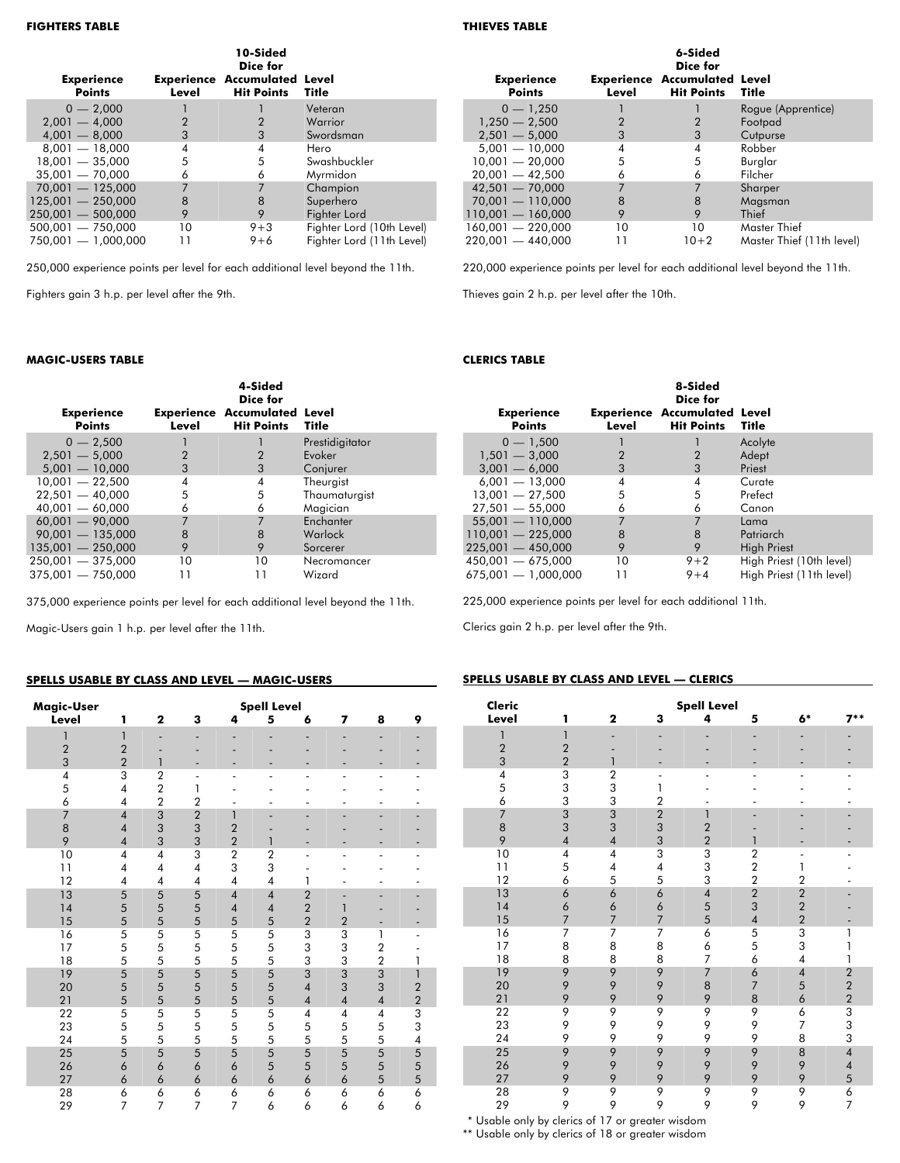| <b>Experience</b><br><b>Points</b> | Level | 10-Sided<br>Dice for<br><b>Experience Accumulated Level</b><br><b>Hit Points</b> | Title                     |
|------------------------------------|-------|----------------------------------------------------------------------------------|---------------------------|
| $0 - 2.000$                        |       |                                                                                  | Veteran                   |
| $2.001 - 4.000$                    | 2     | 2                                                                                | Warrior                   |
| $4.001 - 8.000$                    | 3     | 3                                                                                | Swordsman                 |
| $8,001 - 18,000$                   | 4     | 4                                                                                | Hero                      |
| $18,001 - 35,000$                  | 5     | 5                                                                                | Swashbuckler              |
| $35,001 - 70,000$                  | 6     | 6                                                                                | Myrmidon                  |
| $70,001 - 125,000$                 | 7     |                                                                                  | Champion                  |
| $125,001 - 250,000$                | 8     | 8                                                                                | Superhero                 |
| $250.001 - 500.000$                | 9     | 9                                                                                | Fighter Lord              |
| $500,001 - 750,000$                | 10    | $9 + 3$                                                                          | Fighter Lord (10th Level) |
| $750.001 - 1.000.000$              |       | $9 + 6$                                                                          | Fighter Lord (11th Level) |

250,000 experience points per level for each additional level beyond the 11th.

Fighters gain 3 h.p. per level after the 9th.

#### **MAGIC-USERS TABLE**

| <b>Experience</b><br><b>Points</b> | Level          | 4-Sided<br>Dice for<br><b>Experience Accumulated Level</b><br><b>Hit Points Title</b> |                 |
|------------------------------------|----------------|---------------------------------------------------------------------------------------|-----------------|
| $0 - 2,500$                        |                |                                                                                       | Prestidigitator |
| $2.501 - 5.000$                    | $\overline{2}$ | 2                                                                                     | Evoker          |
| $5.001 - 10.000$                   | 3              | 3                                                                                     | Conjurer        |
| $10,001 - 22,500$                  | 4              | 4                                                                                     | Theurgist       |
| $22.501 - 40.000$                  | 5              | 5                                                                                     | Thaumaturgist   |
| $40.001 - 60.000$                  | 6              | 6                                                                                     | Magician        |
| $60.001 - 90.000$                  | 7              | 7                                                                                     | Enchanter       |
| $90.001 - 135.000$                 | 8              | 8                                                                                     | Warlock         |
| $135.001 - 250.000$                | 9              | 9                                                                                     | Sorcerer        |
| $250.001 - 375.000$                | 10             | 10                                                                                    | Necromancer     |
| $375,001 - 750,000$                | 11             |                                                                                       | Wizard          |

375,000 experience points per level for each additional level beyond the 11th.

Magic-Users gain 1 h.p. per level after the 11th.

#### **SPELLS USABLE BY CLASS AND LEVEL — MAGIC-USERS**

| Magic-User              |                          |                |                          | <b>Spell Level</b>       |                |                |                |                |                         |
|-------------------------|--------------------------|----------------|--------------------------|--------------------------|----------------|----------------|----------------|----------------|-------------------------|
| Level                   | 1                        | $\overline{2}$ | 3                        | 4                        | 5              | 6              | $\overline{ }$ | 8              | 9                       |
| $\mathbf{1}$            | 1                        |                | -                        |                          | -              |                |                |                |                         |
| $\overline{2}$          | $\overline{c}$           |                |                          |                          |                |                |                |                |                         |
| 3                       | $\overline{2}$           | 1              |                          |                          |                |                |                |                |                         |
| $\overline{\mathbf{4}}$ | 3                        | $\overline{2}$ | $\overline{\phantom{a}}$ |                          |                |                |                |                |                         |
| 5                       | $\overline{\mathbf{4}}$  | $\overline{2}$ | 1                        |                          |                |                |                |                |                         |
| 6                       | $\overline{4}$           | $\overline{2}$ | $\overline{2}$           |                          |                |                |                |                |                         |
| $\overline{7}$          | $\overline{4}$           | 3              | $\overline{2}$           | 1                        | -              |                |                |                |                         |
| 8                       | $\overline{\mathcal{A}}$ | 3              | 3                        | $\overline{2}$           |                |                |                |                |                         |
| 9                       | $\overline{4}$           | 3              | 3                        | $\overline{2}$           | $\mathbf{1}$   |                |                |                |                         |
| 10                      | $\overline{4}$           | $\overline{4}$ | 3                        | $\overline{2}$           | $\overline{2}$ | ٠              |                |                |                         |
| 11                      | 4                        | $\overline{4}$ | 4                        | 3                        | 3              |                |                |                |                         |
| 12                      | $\overline{4}$           | $\overline{4}$ | 4                        | $\overline{4}$           | $\overline{4}$ | 1              |                |                |                         |
| 13                      | 5                        | 5              | 5                        | $\overline{\mathcal{A}}$ | $\overline{4}$ | $\overline{2}$ |                | -              |                         |
| 14                      | 5                        | 5              | 5                        | $\overline{\mathcal{A}}$ | $\overline{4}$ | $\overline{2}$ | 1              |                |                         |
| 15                      | 5                        | 5              | 5                        | 5                        | 5              | $\overline{2}$ | $\overline{2}$ |                |                         |
| 16                      | 5                        | 5              | 5                        | 5                        | 5              | 3              | 3              | 1              |                         |
| 17                      | 5                        | 5              | 5                        | 5                        | 5              | 3              | 3              | $\overline{2}$ |                         |
| 18                      | 5                        | 5              | 5                        | 5                        | 5              | 3              | 3              | $\overline{2}$ | 1                       |
| 19                      | 5                        | 5              | 5                        | 5                        | 5              | 3              | 3              | 3              | $\mathbf{1}$            |
| 20                      | 5                        | 5              | 5                        | 5                        | 5              | $\overline{4}$ | 3              | 3              | $\overline{\mathbf{c}}$ |
| 21                      | 5                        | 5              | 5                        | 5                        | 5              | $\overline{4}$ | $\sqrt{4}$     | $\overline{4}$ | $\overline{2}$          |
| 22                      | 5                        | 5              | 5                        | 5                        | 5              | 4              | $\pmb{4}$      | 4              | 3                       |
| 23                      | 5                        | 5              | 5                        | 5                        | 5              | 5              | 5              | 5              | 3                       |
| 24                      | 5                        | 5              | 5                        | 5                        | 5              | 5              | 5              | 5              | $\overline{\mathbf{4}}$ |
| 25                      | 5                        | 5              | 5                        | 5                        | 5              | 5              | 5              | 5              | 5                       |
| 26                      | 6                        | 6              | 6                        | 6                        | 5              | 5              | 5              | 5              | 5                       |
| 27                      | 6                        | 6              | 6                        | 6                        | 6              | 6              | 6              | 5              | 5                       |
| 28                      | 6                        | 6              | 6                        | 6                        | 6              | 6              | 6              | 6              | 6                       |
| 29                      | 7                        | $\overline{7}$ | $\overline{7}$           | $\overline{7}$           | 6              | 6              | 6              | 6              | 6                       |

#### **THIEVES TABLE**

| <b>Experience</b>   |       | 6-Sided<br>Dice for<br><b>Experience Accumulated Level</b> |                           |
|---------------------|-------|------------------------------------------------------------|---------------------------|
| <b>Points</b>       | Level | <b>Hit Points</b>                                          | Title                     |
| $0 - 1,250$         |       |                                                            | Rogue (Apprentice)        |
| $1,250 - 2,500$     |       |                                                            | Footpad                   |
| $2.501 - 5.000$     | 3     | 3                                                          | Cutpurse                  |
| $5.001 - 10.000$    | 4     | 4                                                          | Robber                    |
| $10.001 - 20.000$   | 5     | 5                                                          | Burglar                   |
| $20,001 - 42,500$   | 6     | 6                                                          | Filcher                   |
| $42.501 - 70.000$   |       | 7                                                          | Sharper                   |
| $70,001 - 110,000$  | 8     | 8                                                          | Magsman                   |
| $110,001 - 160,000$ | 9     | 9                                                          | Thief                     |
| 160,001 - 220,000   | 10    | 10                                                         | Master Thief              |
| $220.001 - 440.000$ | 11    | $10 + 2$                                                   | Master Thief (11th level) |

220,000 experience points per level for each additional level beyond the 11th.

Thieves gain 2 h.p. per level after the 10th.

#### **CLERICS TABLE**

|                                    |                | 8-Sided<br>Dice for                                      |                          |
|------------------------------------|----------------|----------------------------------------------------------|--------------------------|
| <b>Experience</b><br><b>Points</b> | Level          | <b>Experience Accumulated Level</b><br><b>Hit Points</b> | Title                    |
| $0 - 1.500$                        |                |                                                          | Acolyte                  |
| $1.501 - 3.000$                    | $\overline{2}$ | 2                                                        | Adept                    |
| $3.001 - 6.000$                    | 3              | 3                                                        | Priest                   |
| $6,001 - 13,000$                   | 4              | 4                                                        | Curate                   |
| $13.001 - 27,500$                  | 5              | 5                                                        | Prefect                  |
| $27,501 - 55,000$                  | 6              | 6                                                        | Canon                    |
| $55,001 - 110,000$                 | 7              | 7                                                        | Lama                     |
| $110.001 - 225.000$                | 8              | 8                                                        | Patriarch                |
| $225.001 - 450.000$                | 9              | 9                                                        | <b>High Priest</b>       |
| $450,001 - 675,000$                | 10             | $9 + 2$                                                  | High Priest (10th level) |
| $675,001 - 1,000,000$              | 11             | $9 + 4$                                                  | High Priest (11th level) |

225,000 experience points per level for each additional 11th.

Clerics gain 2 h.p. per level after the 9th.

#### **SPELLS USABLE BY CLASS AND LEVEL — CLERICS**

| Cleric                  |                |                          |                | <b>Spell Level</b>       |                         |                         |                         |
|-------------------------|----------------|--------------------------|----------------|--------------------------|-------------------------|-------------------------|-------------------------|
| Level                   | 1              | $\mathbf{2}$             | 3              | 4                        | 5                       | $6*$                    | $7**$                   |
| 1                       | $\overline{1}$ |                          |                |                          |                         |                         |                         |
| $\overline{2}$          | $\overline{2}$ |                          |                |                          |                         |                         |                         |
| 3                       | $\overline{2}$ |                          |                |                          |                         |                         |                         |
| $\overline{\mathbf{4}}$ | 3              | $\overline{c}$           |                |                          |                         |                         |                         |
| 5                       | 3              | 3                        | 1              |                          |                         |                         |                         |
| 6                       | 3              | 3                        | $\overline{2}$ |                          |                         |                         |                         |
| $\overline{7}$          | 3              | 3                        | $\overline{a}$ | $\overline{1}$           |                         |                         |                         |
| 8                       | 3              | 3                        | 3              | $\overline{2}$           |                         |                         |                         |
| 9                       | $\overline{4}$ | $\overline{\mathcal{A}}$ | 3              | $\overline{2}$           | 1                       |                         |                         |
| 10                      | 4              | 4                        | 3              | 3                        | $\boldsymbol{2}$        |                         |                         |
| 11                      | 5              | $\overline{4}$           | 4              | 3                        | $\overline{a}$          | 1                       |                         |
| 12                      | 6              | 5                        | 5              | 3                        | $\overline{2}$          | $\overline{2}$          |                         |
| 13                      | 6              | 6                        | 6              | $\overline{\mathcal{A}}$ | $\overline{c}$          | $\overline{\mathbf{c}}$ |                         |
| 14                      | 6              | 6                        | 6              | 5                        | 3                       | $\overline{c}$          |                         |
| 15                      | $\overline{7}$ | $\overline{7}$           | $\overline{7}$ | 5                        | $\overline{\mathbf{4}}$ | $\overline{2}$          |                         |
| 16                      | 7              | 7                        | 7              | 6                        | 5                       | $\overline{3}$          | 1                       |
| 17                      | 8              | 8                        | 8              | 6                        | 5                       | 3                       | 1                       |
| 18                      | 8              | 8                        | 8              | $\overline{7}$           | 6                       | 4                       | 1                       |
| 19                      | 9              | 9                        | 9              | $\overline{7}$           | 6                       | $\overline{\mathbf{4}}$ | $\overline{\mathbf{c}}$ |
| 20                      | 9              | 9                        | 9              | 8                        | $\overline{7}$          | 5                       | $\overline{c}$          |
| 21                      | 9              | 9                        | 9              | 9                        | 8                       | 6                       | $\overline{2}$          |
| 22                      | 9              | 9                        | 9              | 9                        | 9                       | 6                       | 3                       |
| 23                      | 9              | 9                        | 9              | 9                        | 9                       | 7                       | 3                       |
| 24                      | 9              | 9                        | 9              | 9                        | 9                       | 8                       | 3                       |
| 25                      | 9              | 9                        | 9              | 9                        | 9                       | 8                       | $\overline{4}$          |
| 26                      | 9              | 9                        | 9              | 9                        | 9                       | 9                       | $\overline{4}$          |
| 27                      | 9              | 9                        | 9              | 9                        | 9                       | 9                       | 5                       |
| 28                      | 9              | 9                        | 9              | 9                        | 9                       | 9                       | 6                       |
| 29                      | 9              | 9                        | 9              | 9                        | 9                       | 9                       | $\overline{7}$          |

\*\* Usable only by clerics of 17 or greater wisdom

\*\* Usable only by clerics of 18 or greater wisdom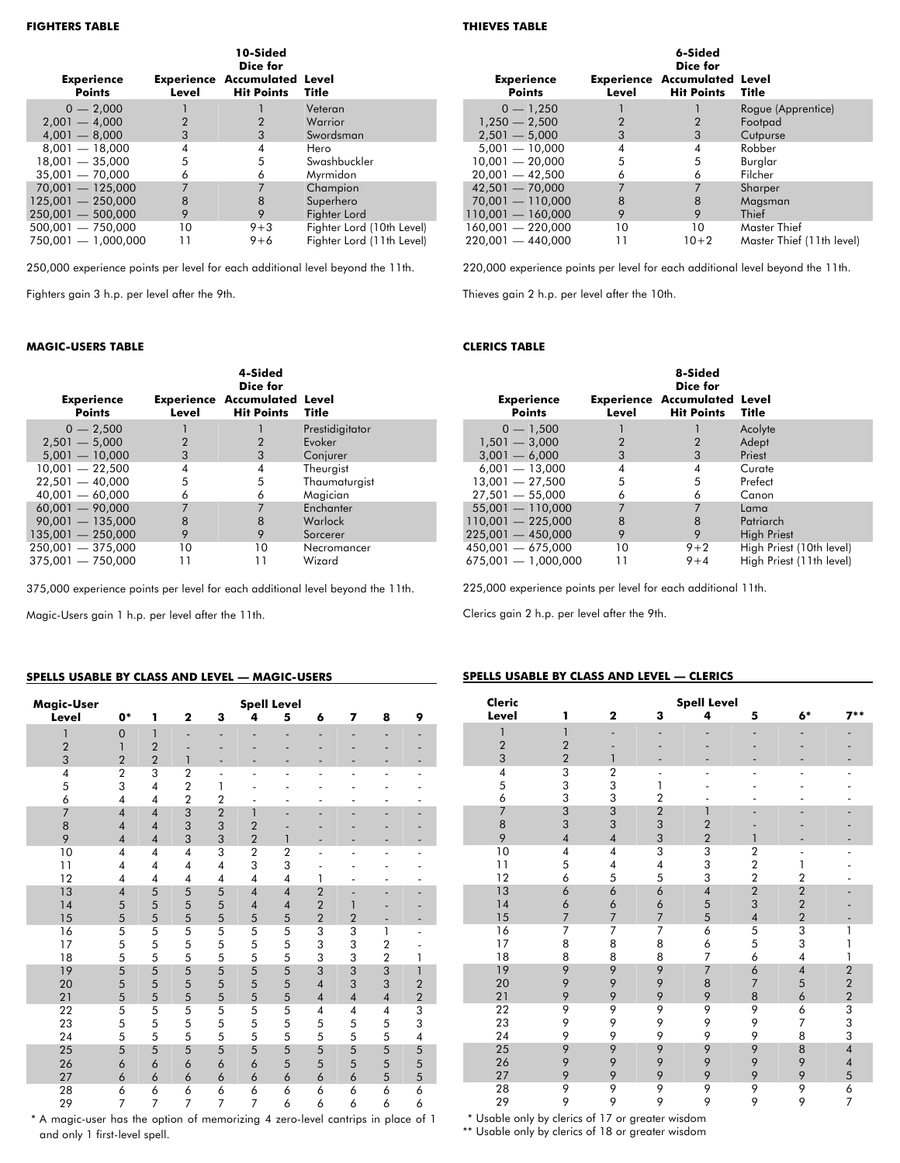| <b>Experience</b><br><b>Points</b> | Level | 10-Sided<br>Dice for<br><b>Experience Accumulated Level</b><br><b>Hit Points</b> | <b>Title</b>              |
|------------------------------------|-------|----------------------------------------------------------------------------------|---------------------------|
|                                    |       |                                                                                  |                           |
| $0 - 2.000$                        |       |                                                                                  | Veteran                   |
| $2,001 - 4,000$                    | 2     |                                                                                  | Warrior                   |
| $4,001 - 8,000$                    | 3     | 3                                                                                | Swordsman                 |
| $8,001 - 18,000$                   | 4     | 4                                                                                | Hero                      |
| $18,001 - 35,000$                  | 5     | 5                                                                                | Swashbuckler              |
| $35,001 - 70,000$                  | 6     | 6                                                                                | Myrmidon                  |
| $70,001 - 125,000$                 |       | 7                                                                                | Champion                  |
| $125,001 - 250,000$                | 8     | 8                                                                                | Superhero                 |
| $250.001 - 500.000$                | 9     | 9                                                                                | Fighter Lord              |
| $500,001 - 750,000$                | 10    | $9 + 3$                                                                          | Fighter Lord (10th Level) |
| 750,001 - 1,000,000                |       | $9 + 6$                                                                          | Fighter Lord (11th Level) |

250,000 experience points per level for each additional level beyond the 11th.

Fighters gain 3 h.p. per level after the 9th.

#### **MAGIC-USERS TABLE**

| <b>Experience</b><br><b>Points</b> | Level | 4-Sided<br>Dice for<br><b>Experience Accumulated Level</b><br><b>Hit Points</b> | Title           |
|------------------------------------|-------|---------------------------------------------------------------------------------|-----------------|
| $0 - 2.500$                        |       |                                                                                 | Prestidigitator |
| $2,501 - 5,000$                    | 2     | 2                                                                               | Evoker          |
| $5.001 - 10.000$                   | 3     | 3                                                                               | Conjurer        |
| $10,001 - 22,500$                  | 4     | 4                                                                               | Theurgist       |
| $22.501 - 40.000$                  | 5     | 5                                                                               | Thaumaturgist   |
| $40,001 - 60,000$                  | 6     | 6                                                                               | Magician        |
| $60.001 - 90.000$                  | 7     | 7                                                                               | Enchanter       |
| $90,001 - 135,000$                 | 8     | 8                                                                               | Warlock         |
| $135.001 - 250.000$                | 9     | 9                                                                               | Sorcerer        |
| $250,001 - 375,000$                | 10    | 10                                                                              | Necromancer     |
| $375.001 - 750.000$                | 11    | 11                                                                              | Wizard          |

375,000 experience points per level for each additional level beyond the 11th.

Magic-Users gain 1 h.p. per level after the 11th.

#### **SPELLS USABLE BY CLASS AND LEVEL — MAGIC-USERS**

| Magic-User     |                |                |                         |                |                          | <b>Spell Level</b>       |                |                          |                |                              |
|----------------|----------------|----------------|-------------------------|----------------|--------------------------|--------------------------|----------------|--------------------------|----------------|------------------------------|
| Level          | $0*$           | 1              | $\overline{\mathbf{2}}$ | 3              | 4                        | 5                        | 6              | 7                        | 8              | 9                            |
| 1              | $\overline{0}$ | $\mathbf{1}$   | ٠                       |                |                          |                          |                |                          |                |                              |
| $\overline{2}$ | $\mathbf{1}$   | $\overline{2}$ |                         |                |                          |                          |                |                          |                |                              |
| 3              | $\overline{2}$ | $\overline{2}$ | 1                       |                |                          | -                        | -              | -                        |                | $\qquad \qquad \blacksquare$ |
| 4              | $\overline{2}$ | 3              | $\overline{2}$          | L,             | $\overline{a}$           | ٠                        | ٠              | ٠                        | $\overline{a}$ | $\overline{a}$               |
| 5              | 3              | $\overline{4}$ | $\overline{2}$          | 1              |                          |                          |                |                          |                |                              |
| 6              | $\overline{4}$ | $\overline{4}$ | $\overline{2}$          | $\overline{2}$ | $\overline{\phantom{0}}$ | $\overline{\phantom{0}}$ | $\overline{a}$ | $\overline{\phantom{0}}$ | -              |                              |
| $\overline{7}$ | $\overline{4}$ | $\overline{4}$ | 3                       | $\overline{2}$ | 1                        |                          |                |                          |                |                              |
| 8              | $\overline{4}$ | $\overline{4}$ | 3                       | 3              | $\overline{2}$           |                          |                |                          |                |                              |
| 9              | $\overline{4}$ | $\overline{4}$ | 3                       | 3              | $\overline{2}$           | 1                        |                | $\overline{\phantom{0}}$ |                | $\overline{\phantom{0}}$     |
| 10             | 4              | 4              | $\overline{4}$          | 3              | $\overline{2}$           | $\overline{2}$           | $\overline{a}$ | ٠                        | $\overline{a}$ | $\overline{a}$               |
| 11             | $\overline{4}$ | $\overline{4}$ | $\overline{4}$          | $\overline{4}$ | 3                        | 3                        |                |                          |                |                              |
| 12             | $\overline{4}$ | $\overline{4}$ | $\overline{4}$          | $\overline{4}$ | $\overline{\mathbf{4}}$  | $\overline{4}$           | 1              | ٠                        | -              |                              |
| 13             | $\overline{4}$ | 5              | 5                       | 5              | $\overline{4}$           | $\overline{4}$           | $\overline{2}$ | ٠                        |                |                              |
| 14             | 5              | 5              | 5                       | 5              | $\overline{4}$           | $\overline{4}$           | $\overline{2}$ | 1                        |                |                              |
| 15             | 5              | 5              | 5                       | 5              | 5                        | 5                        | $\overline{2}$ | $\overline{2}$           | -              | -                            |
| 16             | 5              | 5              | 5                       | 5              | 5                        | 5                        | 3              | 3                        | 1              | ٠                            |
| 17             | 5              | 5              | 5                       | 5              | 5                        | 5                        | 3              | 3                        | $\overline{2}$ |                              |
| 18             | 5              | 5              | 5                       | 5              | 5                        | 5                        | 3              | 3                        | $\overline{2}$ | 1                            |
| 19             | 5              | 5              | 5                       | 5              | 5                        | 5                        | 3              | 3                        | 3              | 1                            |
| 20             | 5              | 5              | 5                       | 5              | 5                        | 5                        | $\overline{4}$ | 3                        | 3              | $\overline{2}$               |
| 21             | 5              | 5              | 5                       | 5              | 5                        | 5                        | $\overline{4}$ | $\overline{4}$           | $\overline{4}$ | $\overline{2}$               |
| 22             | 5              | 5              | 5                       | 5              | 5                        | 5                        | 4              | 4                        | 4              | 3                            |
| 23             | 5              | 5              | 5                       | 5              | 5                        | 5                        | 5              | 5                        | 5              | 3                            |
| 24             | 5              | 5              | 5                       | 5              | 5                        | 5                        | 5              | 5                        | 5              | $\pmb{4}$                    |
| 25             | 5              | 5              | 5                       | 5              | 5                        | 5                        | 5              | 5                        | 5              | 5                            |
| 26             | 6              | 6              | 6                       | 6              | 6                        | 5                        | 5              | 5                        | 5              | 5                            |
| 27             | 6              | 6              | 6                       | 6              | 6                        | 6                        | 6              | 6                        | 5              | 5                            |
| 28             | 6              | 6              | 6                       | 6              | 6                        | 6                        | 6              | 6                        | 6              | 6                            |
| 29             | 7              | 7              | 7                       | 7              | 7                        | 6                        | 6              | 6                        | 6              | 6                            |

\*\* A magic-user has the option of memorizing 4 zero-level cantrips in place of 1 and only 1 first-level spell.

#### **THIEVES TABLE**

| <b>Experience</b><br><b>Points</b> | Level | 6-Sided<br>Dice for<br><b>Experience Accumulated Level</b><br><b>Hit Points</b> | Title                     |
|------------------------------------|-------|---------------------------------------------------------------------------------|---------------------------|
| $0 - 1,250$                        |       |                                                                                 | Rogue (Apprentice)        |
| $1,250 - 2,500$                    | 2     |                                                                                 | Footpad                   |
| $2.501 - 5.000$                    | 3     | 3                                                                               | Cutpurse                  |
| $5.001 - 10.000$                   | 4     | 4                                                                               | Robber                    |
| $10.001 - 20.000$                  | 5     | 5                                                                               | Burglar                   |
| $20,001 - 42,500$                  | 6     | 6                                                                               | Filcher                   |
| $42,501 - 70,000$                  | 7     | $\overline{7}$                                                                  | Sharper                   |
| $70,001 - 110,000$                 | 8     | 8                                                                               | Magsman                   |
| $110,001 - 160,000$                | 9     | 9                                                                               | Thief                     |
| $160,001 - 220,000$                | 10    | 10                                                                              | Master Thief              |
| $220.001 - 440.000$                | 11    | $10+2$                                                                          | Master Thief (11th level) |

220,000 experience points per level for each additional level beyond the 11th.

Thieves gain 2 h.p. per level after the 10th.

#### **CLERICS TABLE**

| <b>Experience</b><br><b>Points</b> | Level | 8-Sided<br>Dice for<br><b>Experience Accumulated Level</b><br><b>Hit Points Title</b> |                          |
|------------------------------------|-------|---------------------------------------------------------------------------------------|--------------------------|
| $0 - 1.500$                        |       |                                                                                       | Acolyte                  |
| $1,501 - 3,000$                    | 2     | 2                                                                                     | Adept                    |
| $3,001 - 6,000$                    | 3     | 3                                                                                     | Priest                   |
| $6,001 - 13,000$                   | 4     | 4                                                                                     | Curate                   |
| $13.001 - 27.500$                  | 5     | 5                                                                                     | Prefect                  |
| $27.501 - 55.000$                  | 6     | 6                                                                                     | Canon                    |
| $55.001 - 110.000$                 | 7     | 7                                                                                     | Lama                     |
| $110.001 - 225.000$                | 8     | 8                                                                                     | Patriarch                |
| $225.001 - 450.000$                | 9     | 9                                                                                     | <b>High Priest</b>       |
| $450.001 - 675.000$                | 10    | $9 + 2$                                                                               | High Priest (10th level) |
| $675,001 - 1,000,000$              | 11    | $9 + 4$                                                                               | High Priest (11th level) |

225,000 experience points per level for each additional 11th.

Clerics gain 2 h.p. per level after the 9th.

#### **SPELLS USABLE BY CLASS AND LEVEL — CLERICS**

| Cleric         |                |                |                              | <b>Spell Level</b>       |                          |                          |                          |
|----------------|----------------|----------------|------------------------------|--------------------------|--------------------------|--------------------------|--------------------------|
| Level          | 1              | $\mathbf 2$    | 3                            | 4                        | 5                        | 6*                       | $7**$                    |
| 1              | 1              |                |                              |                          |                          |                          |                          |
| $\overline{c}$ | $\overline{2}$ |                |                              |                          |                          |                          |                          |
| 3              | $\overline{2}$ | 1              |                              |                          |                          |                          |                          |
| $\overline{4}$ | 3              | $\overline{2}$ | $\qquad \qquad \blacksquare$ | $\overline{a}$           |                          |                          | $\overline{a}$           |
| 5              | 3              | 3              | 1                            |                          |                          |                          |                          |
| 6              | 3              | 3              | $\overline{2}$               |                          |                          |                          |                          |
| $\overline{7}$ | 3              | 3              | $\overline{c}$               | 1                        |                          |                          |                          |
| 8              | 3              | 3              | 3                            | $\overline{2}$           |                          |                          |                          |
| 9              | $\overline{4}$ | $\overline{4}$ | 3                            | $\overline{2}$           |                          |                          |                          |
| 10             | 4              | $\overline{4}$ | 3                            | 3                        | $\boldsymbol{2}$         | $\overline{\phantom{0}}$ |                          |
| 11             | 5              | 4              | 4                            | 3                        | $\sqrt{2}$               | 1                        |                          |
| 12             | 6              | 5              | 5                            | 3                        | $\overline{2}$           | $\overline{2}$           |                          |
| 13             | 6              | 6              | 6                            | $\overline{\mathcal{A}}$ | $\overline{\mathbf{c}}$  | $\overline{\mathbf{c}}$  |                          |
| 14             | 6              | 6              | 6                            | 5                        | 3                        | $\overline{c}$           |                          |
| 15             | $\overline{7}$ | 7              | $\overline{7}$               | 5                        | $\overline{\mathcal{A}}$ | $\overline{2}$           |                          |
| 16             | 7              | 7              | 7                            | 6                        | 5                        | $\overline{3}$           | 1                        |
| 17             | 8              | 8              | 8                            | 6                        | 5                        | 3                        | 1                        |
| 18             | 8              | 8              | 8                            | $\overline{7}$           | 6                        | $\overline{4}$           | 1                        |
| 19             | 9              | 9              | 9                            | $\overline{7}$           | 6                        | $\overline{\mathcal{A}}$ | $\overline{\mathbf{c}}$  |
| 20             | 9              | 9              | 9                            | 8                        | $\overline{7}$           | 5                        | $\overline{2}$           |
| 21             | 9              | 9              | 9                            | 9                        | 8                        | 6                        | $\overline{2}$           |
| 22             | 9              | 9              | 9                            | 9                        | 9                        | 6                        | 3                        |
| 23             | 9              | 9              | 9                            | 9                        | 9                        | 7                        | 3                        |
| 24             | 9              | 9              | 9                            | 9                        | 9                        | 8                        | 3                        |
| 25             | 9              | 9              | 9                            | 9                        | 9                        | 8                        | $\overline{\mathcal{A}}$ |
| 26             | 9              | 9              | 9                            | 9                        | 9                        | 9                        | $\overline{\mathbf{4}}$  |
| 27             | 9              | 9              | 9                            | 9                        | 9                        | 9                        | 5                        |
| 28             | 9              | 9              | 9                            | 9                        | 9                        | 9                        | 6                        |
| 29             | 9              | 9              | 9                            | 9                        | 9                        | 9                        | $\overline{7}$           |

\*\* Usable only by clerics of 17 or greater wisdom

\*\* Usable only by clerics of 18 or greater wisdom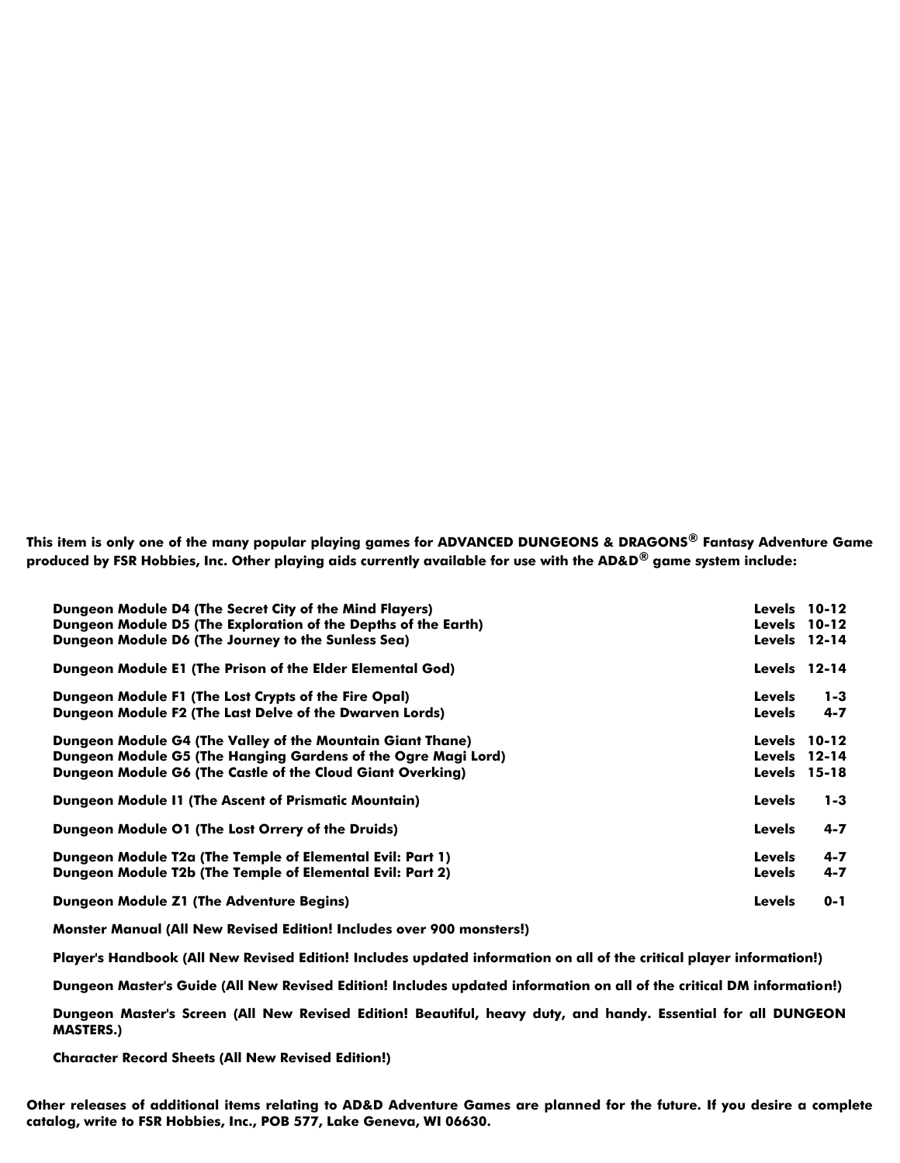**This item is only one of the many popular playing games for ADVANCED DUNGEONS & DRAGONS® Fantasy Adventure Game produced by FSR Hobbies, Inc. Other playing aids currently available for use with the AD&D® game system include:**

| Dungeon Module D4 (The Secret City of the Mind Flayers)<br>Dungeon Module D5 (The Exploration of the Depths of the Earth)<br>Dungeon Module D6 (The Journey to the Sunless Sea)           |                                | <b>Levels</b> 10-12<br><b>Levels</b> 10-12<br><b>Levels</b> 12-14 |
|-------------------------------------------------------------------------------------------------------------------------------------------------------------------------------------------|--------------------------------|-------------------------------------------------------------------|
| Dungeon Module E1 (The Prison of the Elder Elemental God)                                                                                                                                 |                                | <b>Levels</b> 12-14                                               |
| Dungeon Module F1 (The Lost Crypts of the Fire Opal)<br>Dungeon Module F2 (The Last Delve of the Dwarven Lords)                                                                           | <b>Levels</b><br><b>Levels</b> | $1 - 3$<br>$4 - 7$                                                |
| Dungeon Module G4 (The Valley of the Mountain Giant Thane)<br>Dungeon Module G5 (The Hanging Gardens of the Ogre Magi Lord)<br>Dungeon Module G6 (The Castle of the Cloud Giant Overking) |                                | <b>Levels</b> 10-12<br><b>Levels</b> 12-14<br><b>Levels</b> 15-18 |
| <b>Dungeon Module 11 (The Ascent of Prismatic Mountain)</b>                                                                                                                               | <b>Levels</b>                  | $1 - 3$                                                           |
| Dungeon Module 01 (The Lost Orrery of the Druids)                                                                                                                                         | <b>Levels</b>                  | $4 - 7$                                                           |
| Dungeon Module T2a (The Temple of Elemental Evil: Part 1)<br>Dungeon Module T2b (The Temple of Elemental Evil: Part 2)                                                                    | <b>Levels</b><br>Levels        | $4 - 7$<br>$4 - 7$                                                |
| <b>Dungeon Module Z1 (The Adventure Begins)</b>                                                                                                                                           | <b>Levels</b>                  | $0 - 1$                                                           |

**Monster Manual (All New Revised Edition! Includes over 900 monsters!)**

**Player's Handbook (All New Revised Edition! Includes updated information on all of the critical player information!)**

**Dungeon Master's Guide (All New Revised Edition! Includes updated information on all of the critical DM information!)**

**Dungeon Master's Screen (All New Revised Edition! Beautiful, heavy duty, and handy. Essential for all DUNGEON MASTERS.)**

**Character Record Sheets (All New Revised Edition!)**

**Other releases of additional items relating to AD&D Adventure Games are planned for the future. If you desire a complete catalog, write to FSR Hobbies, Inc., POB 577, Lake Geneva, WI 06630.**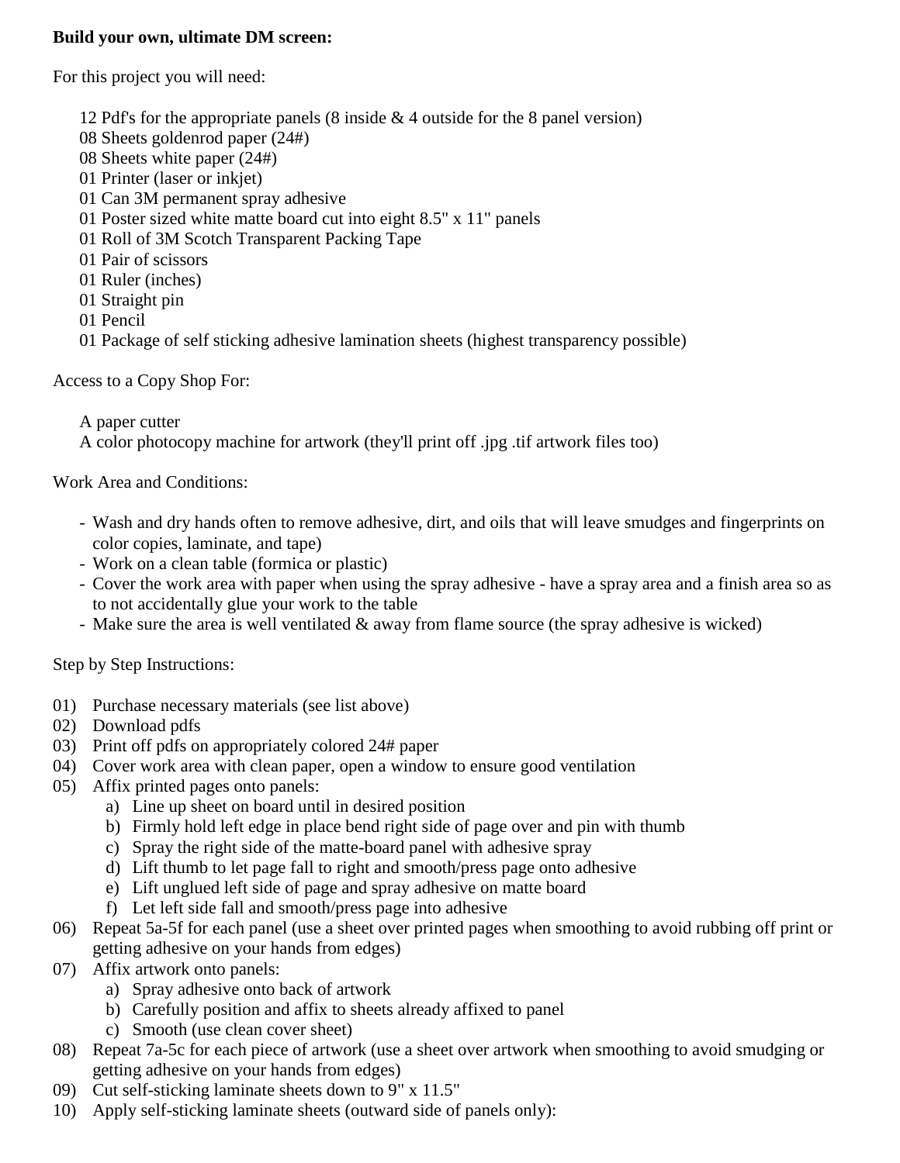### **Build your own, ultimate DM screen:**

For this project you will need:

- 12 Pdf's for the appropriate panels (8 inside  $& 4$  outside for the 8 panel version)
- 08 Sheets goldenrod paper (24#)
- 08 Sheets white paper (24#)
- 01 Printer (laser or inkjet)
- 01 Can 3M permanent spray adhesive
- 01 Poster sized white matte board cut into eight 8.5" x 11" panels
- 01 Roll of 3M Scotch Transparent Packing Tape
- 01 Pair of scissors
- 01 Ruler (inches)
- 01 Straight pin
- 01 Pencil
- 01 Package of self sticking adhesive lamination sheets (highest transparency possible)

Access to a Copy Shop For:

A paper cutter

A color photocopy machine for artwork (they'll print off .jpg .tif artwork files too)

Work Area and Conditions:

- Wash and dry hands often to remove adhesive, dirt, and oils that will leave smudges and fingerprints on color copies, laminate, and tape)
- Work on a clean table (formica or plastic)
- Cover the work area with paper when using the spray adhesive have a spray area and a finish area so as to not accidentally glue your work to the table
- Make sure the area is well ventilated  $\&$  away from flame source (the spray adhesive is wicked)

Step by Step Instructions:

- 01) Purchase necessary materials (see list above)
- 02) Download pdfs
- 03) Print off pdfs on appropriately colored 24# paper
- 04) Cover work area with clean paper, open a window to ensure good ventilation
- 05) Affix printed pages onto panels:
	- a) Line up sheet on board until in desired position
	- b) Firmly hold left edge in place bend right side of page over and pin with thumb
	- c) Spray the right side of the matte-board panel with adhesive spray
	- d) Lift thumb to let page fall to right and smooth/press page onto adhesive
	- e) Lift unglued left side of page and spray adhesive on matte board
	- f) Let left side fall and smooth/press page into adhesive
- 06) Repeat 5a-5f for each panel (use a sheet over printed pages when smoothing to avoid rubbing off print or getting adhesive on your hands from edges)
- 07) Affix artwork onto panels:
	- a) Spray adhesive onto back of artwork
	- b) Carefully position and affix to sheets already affixed to panel
	- c) Smooth (use clean cover sheet)
- 08) Repeat 7a-5c for each piece of artwork (use a sheet over artwork when smoothing to avoid smudging or getting adhesive on your hands from edges)
- 09) Cut self-sticking laminate sheets down to 9" x 11.5"
- 10) Apply self-sticking laminate sheets (outward side of panels only):